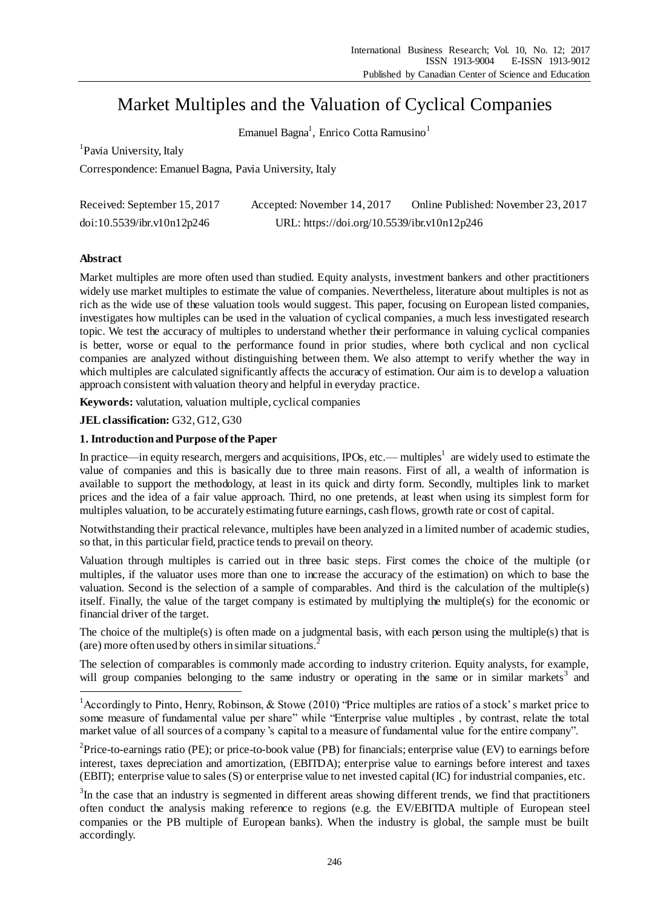# Market Multiples and the Valuation of Cyclical Companies

Emanuel Bagna<sup>1</sup>, Enrico Cotta Ramusino<sup>1</sup>

<sup>1</sup>Pavia University, Italy

Correspondence: Emanuel Bagna, Pavia University, Italy

| Received: September 15, 2017 | Accepted: November 14, 2017                 | Online Published: November 23, 2017 |
|------------------------------|---------------------------------------------|-------------------------------------|
| doi:10.5539/ibr.v10n12p246   | URL: https://doi.org/10.5539/ibr.v10n12p246 |                                     |

## **Abstract**

1

Market multiples are more often used than studied. Equity analysts, investment bankers and other practitioners widely use market multiples to estimate the value of companies. Nevertheless, literature about multiples is not as rich as the wide use of these valuation tools would suggest. This paper, focusing on European listed companies, investigates how multiples can be used in the valuation of cyclical companies, a much less investigated research topic. We test the accuracy of multiples to understand whether their performance in valuing cyclical companies is better, worse or equal to the performance found in prior studies, where both cyclical and non cyclical companies are analyzed without distinguishing between them. We also attempt to verify whether the way in which multiples are calculated significantly affects the accuracy of estimation. Our aim is to develop a valuation approach consistent with valuation theory and helpful in everyday practice.

**Keywords:** valutation, valuation multiple, cyclical companies

**JEL classification:** G32, G12, G30

## **1. Introduction and Purpose of the Paper**

In practice—in equity research, mergers and acquisitions, IPOs, etc.— multiples<sup>1</sup> are widely used to estimate the value of companies and this is basically due to three main reasons. First of all, a wealth of information is available to support the methodology, at least in its quick and dirty form. Secondly, multiples link to market prices and the idea of a fair value approach. Third, no one pretends, at least when using its simplest form for multiples valuation, to be accurately estimating future earnings, cash flows, growth rate or cost of capital.

Notwithstanding their practical relevance, multiples have been analyzed in a limited number of academic studies, so that, in this particular field, practice tends to prevail on theory.

Valuation through multiples is carried out in three basic steps. First comes the choice of the multiple (or multiples, if the valuator uses more than one to increase the accuracy of the estimation) on which to base the valuation. Second is the selection of a sample of comparables. And third is the calculation of the multiple(s) itself. Finally, the value of the target company is estimated by multiplying the multiple(s) for the economic or financial driver of the target.

The choice of the multiple(s) is often made on a judgmental basis, with each person using the multiple(s) that is (are) more often used by others in similar situations.<sup>2</sup>

The selection of comparables is commonly made according to industry criterion. Equity analysts, for example, will group companies belonging to the same industry or operating in the same or in similar markets<sup>3</sup> and

<sup>1</sup> Accordingly to Pinto, Henry, Robinson, & Stowe (2010) "Price multiples are ratios of a stock' s market price to some measure of fundamental value per share" while "Enterprise value multiples , by contrast, relate the total market value of all sources of a company 's capital to a measure of fundamental value for the entire company".

<sup>2</sup>Price-to-earnings ratio (PE); or price-to-book value (PB) for financials; enterprise value (EV) to earnings before interest, taxes depreciation and amortization, (EBITDA); enterprise value to earnings before interest and taxes (EBIT); enterprise value to sales (S) or enterprise value to net invested capital (IC) for industrial companies, etc.

 $3$ In the case that an industry is segmented in different areas showing different trends, we find that practitioners often conduct the analysis making reference to regions (e.g. the EV/EBITDA multiple of European steel companies or the PB multiple of European banks). When the industry is global, the sample must be built accordingly.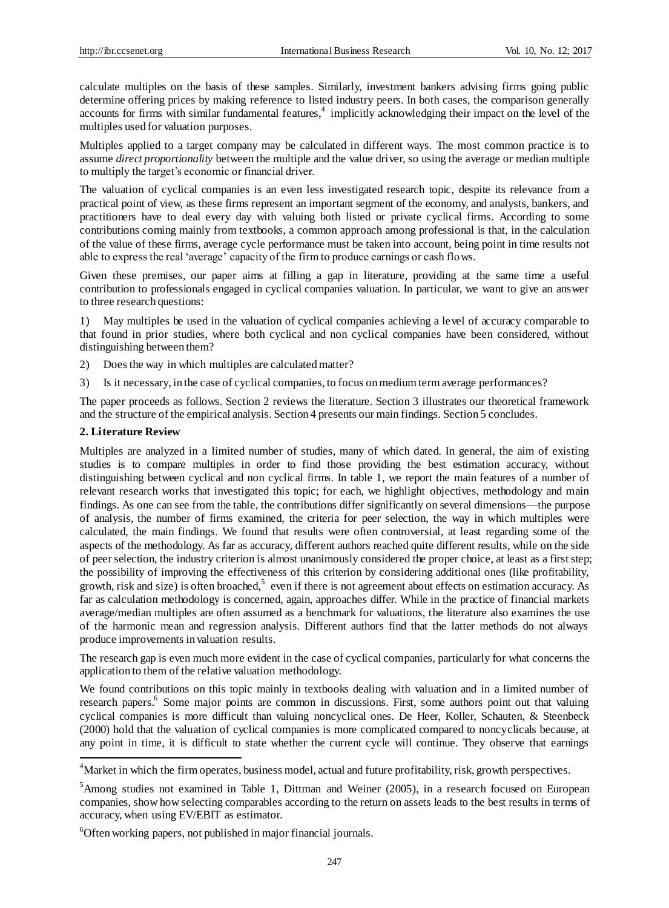calculate multiples on the basis of these samples. Similarly, investment bankers advising firms going public determine offering prices by making reference to listed industry peers. In both cases, the comparison generally accounts for firms with similar fundamental features,<sup>4</sup> implicitly acknowledging their impact on the level of the multiples used for valuation purposes.

Multiples applied to a target company may be calculated in different ways. The most common practice is to assume *direct proportionality* between the multiple and the value driver, so using the average or median multiple to multiply the target's economic or financial driver.

The valuation of cyclical companies is an even less investigated research topic, despite its relevance from a practical point of view, as these firms represent an important segment of the economy, and analysts, bankers, and practitioners have to deal every day with valuing both listed or private cyclical firms. According to some contributions coming mainly from textbooks, a common approach among professional is that, in the calculation of the value of these firms, average cycle performance must be taken into account, being point in time results not able to express the real 'average' capacity of the firm to produce earnings or cash flows.

Given these premises, our paper aims at filling a gap in literature, providing at the same time a useful contribution to professionals engaged in cyclical companies valuation. In particular, we want to give an answer to three research questions:

1) May multiples be used in the valuation of cyclical companies achieving a level of accuracy comparable to that found in prior studies, where both cyclical and non cyclical companies have been considered, without distinguishing between them?

- 2) Does the way in which multiples are calculated matter?
- 3) Is it necessary, in the case of cyclical companies, to focus on medium term average performances?

The paper proceeds as follows. Section 2 reviews the literature. Section 3 illustrates our theoretical framework and the structure of the empirical analysis. Section 4 presents our main findings. Section 5 concludes.

## **2. Literature Review**

1

Multiples are analyzed in a limited number of studies, many of which dated. In general, the aim of existing studies is to compare multiples in order to find those providing the best estimation accuracy, without distinguishing between cyclical and non cyclical firms. In table 1, we report the main features of a number of relevant research works that investigated this topic; for each, we highlight objectives, methodology and main findings. As one can see from the table, the contributions differ significantly on several dimensions—the purpose of analysis, the number of firms examined, the criteria for peer selection, the way in which multiples were calculated, the main findings. We found that results were often controversial, at least regarding some of the aspects of the methodology. As far as accuracy, different authors reached quite different results, while on the side of peer selection, the industry criterion is almost unanimously considered the proper choice, at least as a first step; the possibility of improving the effectiveness of this criterion by considering additional ones (like profitability, growth, risk and size) is often broached,<sup>5</sup> even if there is not agreement about effects on estimation accuracy. As far as calculation methodology is concerned, again, approaches differ. While in the practice of financial markets average/median multiples are often assumed as a benchmark for valuations, the literature also examines the use of the harmonic mean and regression analysis. Different authors find that the latter methods do not always produce improvements in valuation results.

The research gap is even much more evident in the case of cyclical companies, particularly for what concerns the application to them of the relative valuation methodology.

We found contributions on this topic mainly in textbooks dealing with valuation and in a limited number of research papers.<sup>6</sup> Some major points are common in discussions. First, some authors point out that valuing cyclical companies is more difficult than valuing noncyclical ones. De Heer, Koller, Schauten, & Steenbeck (2000) hold that the valuation of cyclical companies is more complicated compared to noncyclicals because, at any point in time, it is difficult to state whether the current cycle will continue. They observe that earnings

<sup>&</sup>lt;sup>4</sup>Market in which the firm operates, business model, actual and future profitability, risk, growth perspectives.

 $5$ Among studies not examined in Table 1, Dittman and Weiner (2005), in a research focused on European companies, show how selecting comparables according to the return on assets leads to the best results in terms of accuracy, when using EV/EBIT as estimator.

 $6$ Often working papers, not published in major financial journals.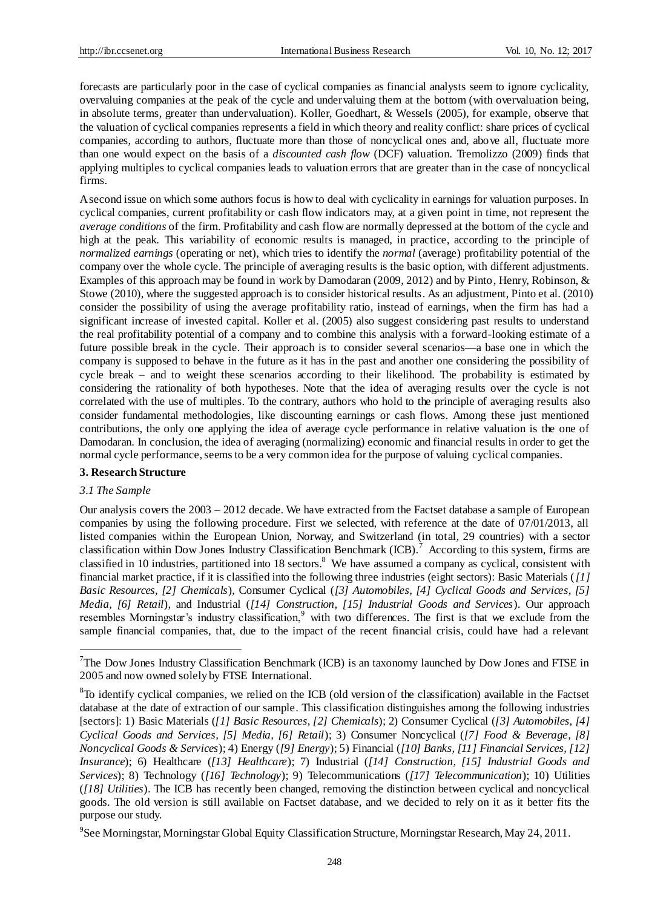forecasts are particularly poor in the case of cyclical companies as financial analysts seem to ignore cyclicality, overvaluing companies at the peak of the cycle and undervaluing them at the bottom (with overvaluation being, in absolute terms, greater than undervaluation). Koller, Goedhart, & Wessels (2005), for example, observe that the valuation of cyclical companies represents a field in which theory and reality conflict: share prices of cyclical companies, according to authors, fluctuate more than those of noncyclical ones and, above all, fluctuate more than one would expect on the basis of a *discounted cash flow* (DCF) valuation. Tremolizzo (2009) finds that applying multiples to cyclical companies leads to valuation errors that are greater than in the case of noncyclical firms.

A second issue on which some authors focus is how to deal with cyclicality in earnings for valuation purposes. In cyclical companies, current profitability or cash flow indicators may, at a given point in time, not represent the *average conditions* of the firm. Profitability and cash flow are normally depressed at the bottom of the cycle and high at the peak. This variability of economic results is managed, in practice, according to the principle of *normalized earnings* (operating or net), which tries to identify the *normal* (average) profitability potential of the company over the whole cycle. The principle of averaging results is the basic option, with different adjustments. Examples of this approach may be found in work by Damodaran (2009, 2012) and by Pinto, Henry, Robinson, & Stowe (2010), where the suggested approach is to consider historical results. As an adjustment, Pinto et al. (2010) consider the possibility of using the average profitability ratio, instead of earnings, when the firm has had a significant increase of invested capital. Koller et al. (2005) also suggest considering past results to understand the real profitability potential of a company and to combine this analysis with a forward-looking estimate of a future possible break in the cycle. Their approach is to consider several scenarios—a base one in which the company is supposed to behave in the future as it has in the past and another one considering the possibility of cycle break – and to weight these scenarios according to their likelihood. The probability is estimated by considering the rationality of both hypotheses. Note that the idea of averaging results over the cycle is not correlated with the use of multiples. To the contrary, authors who hold to the principle of averaging results also consider fundamental methodologies, like discounting earnings or cash flows. Among these just mentioned contributions, the only one applying the idea of average cycle performance in relative valuation is the one of Damodaran. In conclusion, the idea of averaging (normalizing) economic and financial results in order to get the normal cycle performance, seems to be a very common idea for the purpose of valuing cyclical companies.

## **3. Research Structure**

## *3.1 The Sample*

<u>.</u>

Our analysis covers the 2003 – 2012 decade. We have extracted from the Factset database a sample of European companies by using the following procedure. First we selected, with reference at the date of 07/01/2013, all listed companies within the European Union, Norway, and Switzerland (in total, 29 countries) with a sector classification within Dow Jones Industry Classification Benchmark (ICB).<sup>7</sup> According to this system, firms are classified in 10 industries, partitioned into 18 sectors.<sup>8</sup> We have assumed a company as cyclical, consistent with financial market practice, if it is classified into the following three industries (eight sectors): Basic Materials (*[1] Basic Resources, [2] Chemicals*), Consumer Cyclical (*[3] Automobiles, [4] Cyclical Goods and Services, [5] Media, [6] Retail*), and Industrial (*[14] Construction, [15] Industrial Goods and Services*). Our approach resembles Morningstar's industry classification,<sup>9</sup> with two differences. The first is that we exclude from the sample financial companies, that, due to the impact of the recent financial crisis, could have had a relevant

9 See Morningstar, Morningstar Global Equity Classification Structure, Morningstar Research, May 24, 2011.

<sup>&</sup>lt;sup>7</sup>The Dow Jones Industry Classification Benchmark (ICB) is an taxonomy launched by Dow Jones and FTSE in 2005 and now owned solely by FTSE International.

<sup>&</sup>lt;sup>8</sup>To identify cyclical companies, we relied on the ICB (old version of the classification) available in the Factset database at the date of extraction of our sample. This classification distinguishes among the following industries [sectors]: 1) Basic Materials (*[1] Basic Resources, [2] Chemicals*); 2) Consumer Cyclical (*[3] Automobiles, [4] Cyclical Goods and Services, [5] Media, [6] Retail*); 3) Consumer Noncyclical (*[7] Food & Beverage, [8] Noncyclical Goods & Services*); 4) Energy (*[9] Energy*); 5) Financial (*[10] Banks, [11] Financial Services, [12] Insurance*); 6) Healthcare (*[13] Healthcare*); 7) Industrial (*[14] Construction, [15] Industrial Goods and Services*); 8) Technology (*[16] Technology*); 9) Telecommunications (*[17] Telecommunication*); 10) Utilities (*[18] Utilities*). The ICB has recently been changed, removing the distinction between cyclical and noncyclical goods. The old version is still available on Factset database, and we decided to rely on it as it better fits the purpose our study.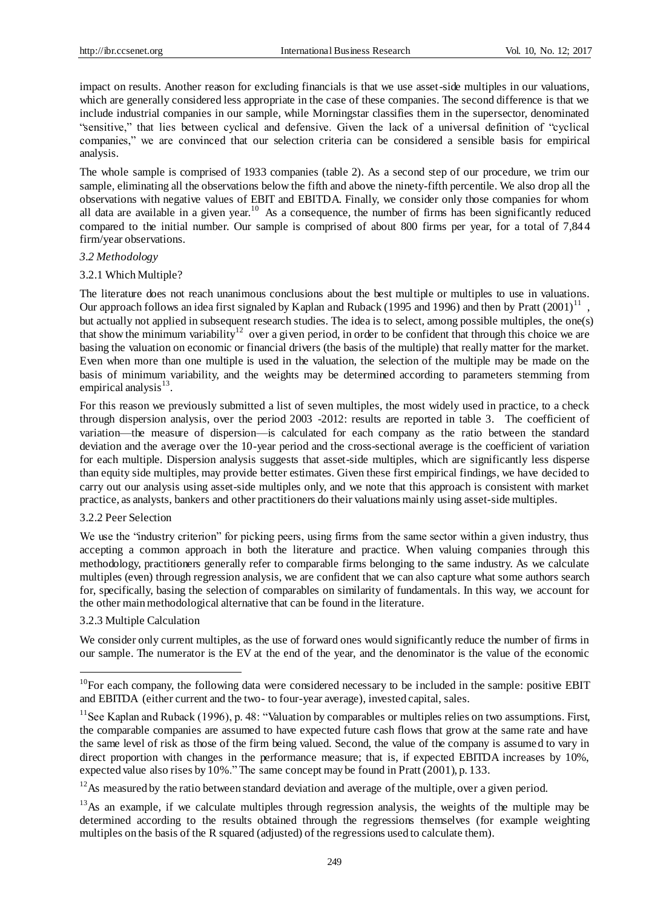impact on results. Another reason for excluding financials is that we use asset-side multiples in our valuations, which are generally considered less appropriate in the case of these companies. The second difference is that we include industrial companies in our sample, while Morningstar classifies them in the supersector, denominated "sensitive," that lies between cyclical and defensive. Given the lack of a universal definition of "cyclical companies," we are convinced that our selection criteria can be considered a sensible basis for empirical analysis.

The whole sample is comprised of 1933 companies (table 2). As a second step of our procedure, we trim our sample, eliminating all the observations below the fifth and above the ninety-fifth percentile. We also drop all the observations with negative values of EBIT and EBITDA. Finally, we consider only those companies for whom all data are available in a given year.<sup>10</sup> As a consequence, the number of firms has been significantly reduced compared to the initial number. Our sample is comprised of about 800 firms per year, for a total of 7,844 firm/year observations.

## *3.2 Methodology*

## 3.2.1 Which Multiple?

The literature does not reach unanimous conclusions about the best multiple or multiples to use in valuations. Our approach follows an idea first signaled by Kaplan and Ruback (1995 and 1996) and then by Pratt (2001)<sup>11</sup>, but actually not applied in subsequent research studies. The idea is to select, among possible multiples, the one(s) that show the minimum variability<sup>12</sup> over a given period, in order to be confident that through this choice we are basing the valuation on economic or financial drivers (the basis of the multiple) that really matter for the market. Even when more than one multiple is used in the valuation, the selection of the multiple may be made on the basis of minimum variability, and the weights may be determined according to parameters stemming from empirical analysis<sup>13</sup>.

For this reason we previously submitted a list of seven multiples, the most widely used in practice, to a check through dispersion analysis, over the period 2003 -2012: results are reported in table 3. The coefficient of variation—the measure of dispersion—is calculated for each company as the ratio between the standard deviation and the average over the 10-year period and the cross-sectional average is the coefficient of variation for each multiple. Dispersion analysis suggests that asset-side multiples, which are significantly less disperse than equity side multiples, may provide better estimates. Given these first empirical findings, we have decided to carry out our analysis using asset-side multiples only, and we note that this approach is consistent with market practice, as analysts, bankers and other practitioners do their valuations mainly using asset-side multiples.

### 3.2.2 Peer Selection

We use the "industry criterion" for picking peers, using firms from the same sector within a given industry, thus accepting a common approach in both the literature and practice. When valuing companies through this methodology, practitioners generally refer to comparable firms belonging to the same industry. As we calculate multiples (even) through regression analysis, we are confident that we can also capture what some authors search for, specifically, basing the selection of comparables on similarity of fundamentals. In this way, we account for the other main methodological alternative that can be found in the literature.

## 3.2.3 Multiple Calculation

<u>.</u>

We consider only current multiples, as the use of forward ones would significantly reduce the number of firms in our sample. The numerator is the EV at the end of the year, and the denominator is the value of the economic

<sup>12</sup>As measured by the ratio between standard deviation and average of the multiple, over a given period.

 $10<sup>10</sup>$  For each company, the following data were considered necessary to be included in the sample: positive EBIT and EBITDA (either current and the two- to four-year average), invested capital, sales.

 $11$ See Kaplan and Ruback (1996), p. 48: "Valuation by comparables or multiples relies on two assumptions. First, the comparable companies are assumed to have expected future cash flows that grow at the same rate and have the same level of risk as those of the firm being valued. Second, the value of the company is assumed to vary in direct proportion with changes in the performance measure; that is, if expected EBITDA increases by 10%, expected value also rises by 10%." The same concept may be found in Pratt (2001), p. 133.

<sup>&</sup>lt;sup>13</sup>As an example, if we calculate multiples through regression analysis, the weights of the multiple may be determined according to the results obtained through the regressions themselves (for example weighting multiples on the basis of the R squared (adjusted) of the regressions used to calculate them).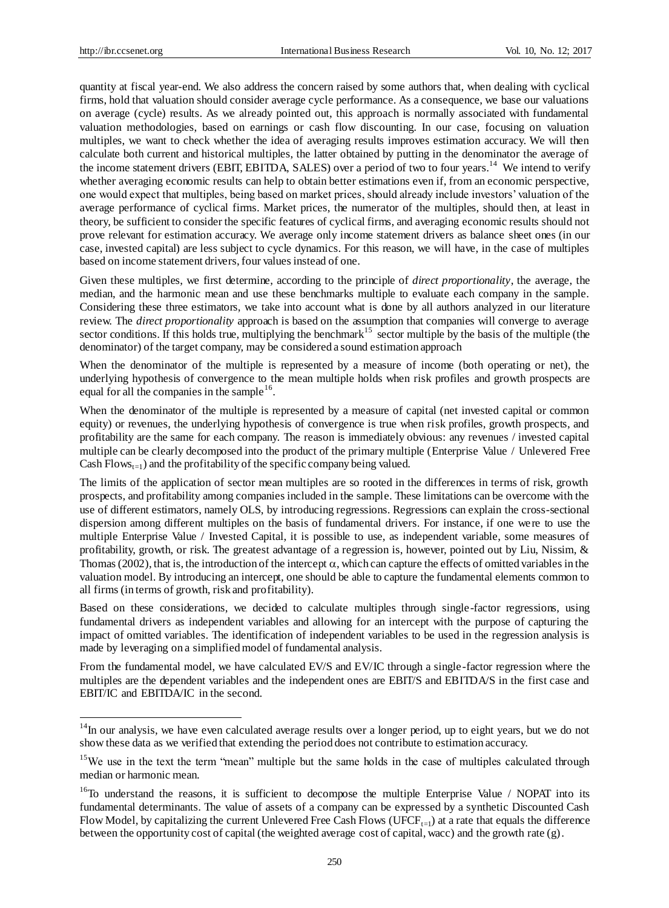<u>.</u>

quantity at fiscal year-end. We also address the concern raised by some authors that, when dealing with cyclical firms, hold that valuation should consider average cycle performance. As a consequence, we base our valuations on average (cycle) results. As we already pointed out, this approach is normally associated with fundamental valuation methodologies, based on earnings or cash flow discounting. In our case, focusing on valuation multiples, we want to check whether the idea of averaging results improves estimation accuracy. We will then calculate both current and historical multiples, the latter obtained by putting in the denominator the average of the income statement drivers (EBIT, EBITDA, SALES) over a period of two to four years.<sup>14</sup> We intend to verify whether averaging economic results can help to obtain better estimations even if, from an economic perspective, one would expect that multiples, being based on market prices, should already include investors' valuation of the average performance of cyclical firms. Market prices, the numerator of the multiples, should then, at least in theory, be sufficient to consider the specific features of cyclical firms, and averaging economic results should not prove relevant for estimation accuracy. We average only income statement drivers as balance sheet ones (in our case, invested capital) are less subject to cycle dynamics. For this reason, we will have, in the case of multiples based on income statement drivers, four values instead of one.

Given these multiples, we first determine, according to the principle of *direct proportionality*, the average, the median, and the harmonic mean and use these benchmarks multiple to evaluate each company in the sample. Considering these three estimators, we take into account what is done by all authors analyzed in our literature review. The *direct proportionality* approach is based on the assumption that companies will converge to average sector conditions. If this holds true, multiplying the benchmark<sup>15</sup> sector multiple by the basis of the multiple (the denominator) of the target company, may be considered a sound estimation approach

When the denominator of the multiple is represented by a measure of income (both operating or net), the underlying hypothesis of convergence to the mean multiple holds when risk profiles and growth prospects are equal for all the companies in the sample<sup>16</sup>.

When the denominator of the multiple is represented by a measure of capital (net invested capital or common equity) or revenues, the underlying hypothesis of convergence is true when risk profiles, growth prospects, and profitability are the same for each company. The reason is immediately obvious: any revenues / invested capital multiple can be clearly decomposed into the product of the primary multiple (Enterprise Value / Unlevered Free Cash  $Flows_{t=1}$ ) and the profitability of the specific company being valued.

The limits of the application of sector mean multiples are so rooted in the differences in terms of risk, growth prospects, and profitability among companies included in the sample. These limitations can be overcome with the use of different estimators, namely OLS, by introducing regressions. Regressions can explain the cross-sectional dispersion among different multiples on the basis of fundamental drivers. For instance, if one were to use the multiple Enterprise Value / Invested Capital, it is possible to use, as independent variable, some measures of profitability, growth, or risk. The greatest advantage of a regression is, however, pointed out by Liu, Nissim, & Thomas (2002), that is, the introduction of the intercept  $\alpha$ , which can capture the effects of omitted variables in the valuation model. By introducing an intercept, one should be able to capture the fundamental elements common to all firms (in terms of growth, risk and profitability).

Based on these considerations, we decided to calculate multiples through single-factor regressions, using fundamental drivers as independent variables and allowing for an intercept with the purpose of capturing the impact of omitted variables. The identification of independent variables to be used in the regression analysis is made by leveraging on a simplified model of fundamental analysis.

From the fundamental model, we have calculated EV/S and EV/IC through a single-factor regression where the multiples are the dependent variables and the independent ones are EBIT/S and EBITDA/S in the first case and EBIT/IC and EBITDA/IC in the second.

 $14$ In our analysis, we have even calculated average results over a longer period, up to eight years, but we do not show these data as we verified that extending the period does not contribute to estimation accuracy.

<sup>&</sup>lt;sup>15</sup>We use in the text the term "mean" multiple but the same holds in the case of multiples calculated through median or harmonic mean.

 $16T$  understand the reasons, it is sufficient to decompose the multiple Enterprise Value / NOPAT into its fundamental determinants. The value of assets of a company can be expressed by a synthetic Discounted Cash Flow Model, by capitalizing the current Unlevered Free Cash Flows (UFCF $_{t=1}$ ) at a rate that equals the difference between the opportunity cost of capital (the weighted average cost of capital, wacc) and the growth rate (g).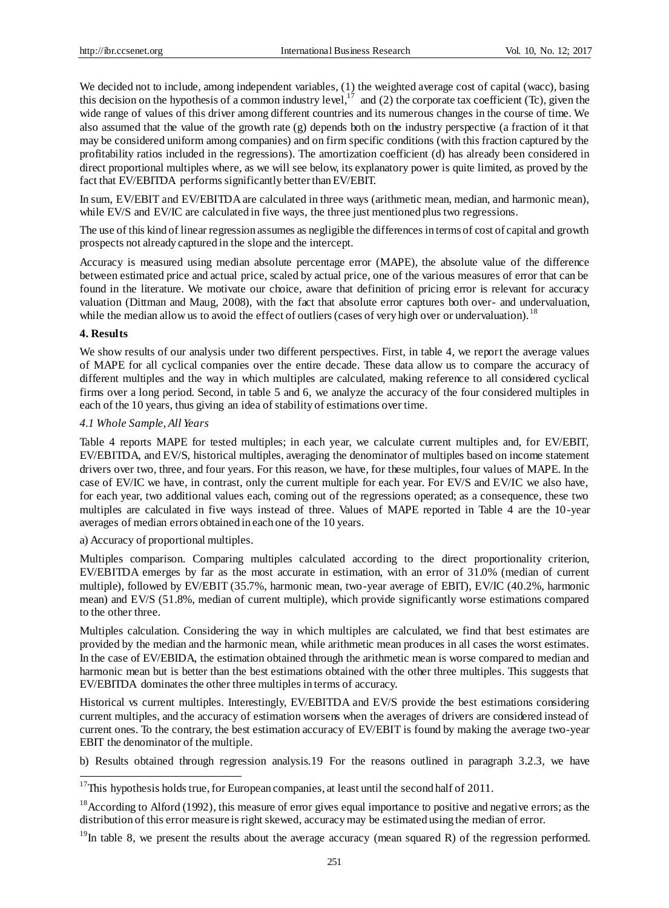We decided not to include, among independent variables,  $(1)$  the weighted average cost of capital (wacc), basing this decision on the hypothesis of a common industry level,<sup>17</sup> and (2) the corporate tax coefficient (Tc), given the wide range of values of this driver among different countries and its numerous changes in the course of time. We also assumed that the value of the growth rate (g) depends both on the industry perspective (a fraction of it that may be considered uniform among companies) and on firm specific conditions (with this fraction captured by the profitability ratios included in the regressions). The amortization coefficient (d) has already been considered in direct proportional multiples where, as we will see below, its explanatory power is quite limited, as proved by the fact that EV/EBITDA performs significantly better than EV/EBIT.

In sum, EV/EBIT and EV/EBITDA are calculated in three ways (arithmetic mean, median, and harmonic mean), while EV/S and EV/IC are calculated in five ways, the three just mentioned plus two regressions.

The use of this kind of linear regression assumes as negligible the differences in terms of cost of capital and growth prospects not already captured in the slope and the intercept.

Accuracy is measured using median absolute percentage error (MAPE), the absolute value of the difference between estimated price and actual price, scaled by actual price, one of the various measures of error that can be found in the literature. We motivate our choice, aware that definition of pricing error is relevant for accuracy valuation (Dittman and Maug, 2008), with the fact that absolute error captures both over- and undervaluation, while the median allow us to avoid the effect of outliers (cases of very high over or undervaluation).<sup>1</sup>

## **4. Results**

<u>.</u>

We show results of our analysis under two different perspectives. First, in table 4, we report the average values of MAPE for all cyclical companies over the entire decade. These data allow us to compare the accuracy of different multiples and the way in which multiples are calculated, making reference to all considered cyclical firms over a long period. Second, in table 5 and 6, we analyze the accuracy of the four considered multiples in each of the 10 years, thus giving an idea of stability of estimations over time.

## *4.1 Whole Sample, All Years*

Table 4 reports MAPE for tested multiples; in each year, we calculate current multiples and, for EV/EBIT, EV/EBITDA, and EV/S, historical multiples, averaging the denominator of multiples based on income statement drivers over two, three, and four years. For this reason, we have, for these multiples, four values of MAPE. In the case of EV/IC we have, in contrast, only the current multiple for each year. For EV/S and EV/IC we also have, for each year, two additional values each, coming out of the regressions operated; as a consequence, these two multiples are calculated in five ways instead of three. Values of MAPE reported in Table 4 are the 10-year averages of median errors obtained in each one of the 10 years.

a) Accuracy of proportional multiples.

Multiples comparison. Comparing multiples calculated according to the direct proportionality criterion, EV/EBITDA emerges by far as the most accurate in estimation, with an error of 31.0% (median of current multiple), followed by EV/EBIT (35.7%, harmonic mean, two-year average of EBIT), EV/IC (40.2%, harmonic mean) and EV/S (51.8%, median of current multiple), which provide significantly worse estimations compared to the other three.

Multiples calculation. Considering the way in which multiples are calculated, we find that best estimates are provided by the median and the harmonic mean, while arithmetic mean produces in all cases the worst estimates. In the case of EV/EBIDA, the estimation obtained through the arithmetic mean is worse compared to median and harmonic mean but is better than the best estimations obtained with the other three multiples. This suggests that EV/EBITDA dominates the other three multiples in terms of accuracy.

Historical vs current multiples. Interestingly, EV/EBITDA and EV/S provide the best estimations considering current multiples, and the accuracy of estimation worsens when the averages of drivers are considered instead of current ones. To the contrary, the best estimation accuracy of EV/EBIT is found by making the average two-year EBIT the denominator of the multiple.

b) Results obtained through regression analysis.19 For the reasons outlined in paragraph 3.2.3, we have

 $17$ This hypothesis holds true, for European companies, at least until the second half of 2011.

<sup>&</sup>lt;sup>18</sup> According to Alford (1992), this measure of error gives equal importance to positive and negative errors; as the distribution of this error measure is right skewed, accuracy may be estimated using the median of error.

 $19$ In table 8, we present the results about the average accuracy (mean squared R) of the regression performed.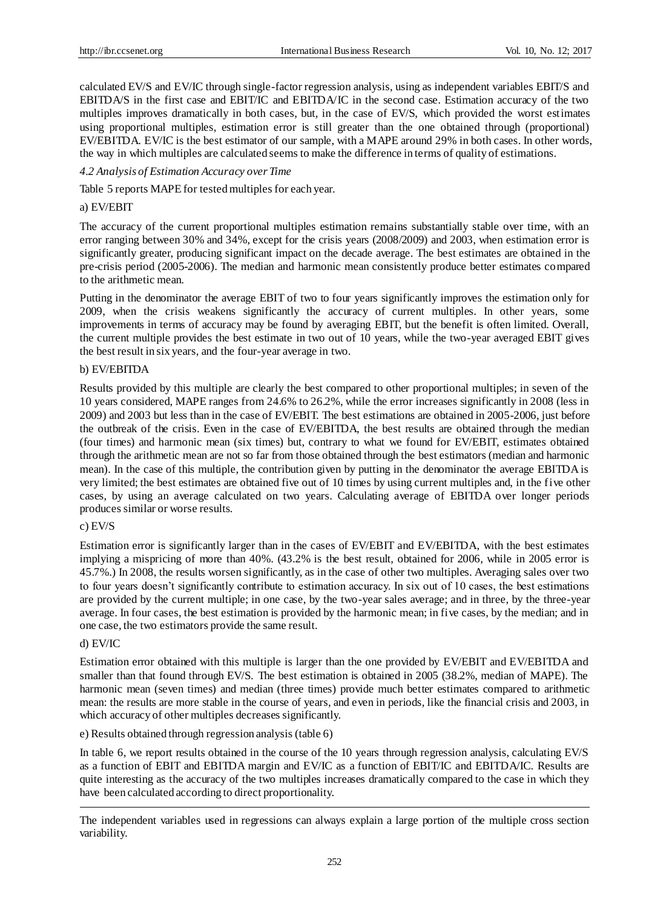calculated EV/S and EV/IC through single-factor regression analysis, using as independent variables EBIT/S and EBITDA/S in the first case and EBIT/IC and EBITDA/IC in the second case. Estimation accuracy of the two multiples improves dramatically in both cases, but, in the case of EV/S, which provided the worst estimates using proportional multiples, estimation error is still greater than the one obtained through (proportional) EV/EBITDA. EV/IC is the best estimator of our sample, with a MAPE around 29% in both cases. In other words, the way in which multiples are calculated seems to make the difference in terms of quality of estimations.

## *4.2 Analysis of Estimation Accuracy over Time*

Table 5 reports MAPE for tested multiples for each year.

## a) EV/EBIT

The accuracy of the current proportional multiples estimation remains substantially stable over time, with an error ranging between 30% and 34%, except for the crisis years (2008/2009) and 2003, when estimation error is significantly greater, producing significant impact on the decade average. The best estimates are obtained in the pre-crisis period (2005-2006). The median and harmonic mean consistently produce better estimates compared to the arithmetic mean.

Putting in the denominator the average EBIT of two to four years significantly improves the estimation only for 2009, when the crisis weakens significantly the accuracy of current multiples. In other years, some improvements in terms of accuracy may be found by averaging EBIT, but the benefit is often limited. Overall, the current multiple provides the best estimate in two out of 10 years, while the two-year averaged EBIT gives the best result in six years, and the four-year average in two.

## b) EV/EBITDA

Results provided by this multiple are clearly the best compared to other proportional multiples; in seven of the 10 years considered, MAPE ranges from 24.6% to 26.2%, while the error increases significantly in 2008 (less in 2009) and 2003 but less than in the case of EV/EBIT. The best estimations are obtained in 2005-2006, just before the outbreak of the crisis. Even in the case of EV/EBITDA, the best results are obtained through the median (four times) and harmonic mean (six times) but, contrary to what we found for EV/EBIT, estimates obtained through the arithmetic mean are not so far from those obtained through the best estimators (median and harmonic mean). In the case of this multiple, the contribution given by putting in the denominator the average EBITDA is very limited; the best estimates are obtained five out of 10 times by using current multiples and, in the five other cases, by using an average calculated on two years. Calculating average of EBITDA over longer periods produces similar or worse results.

## c) EV/S

Estimation error is significantly larger than in the cases of EV/EBIT and EV/EBITDA, with the best estimates implying a mispricing of more than 40%. (43.2% is the best result, obtained for 2006, while in 2005 error is 45.7%.) In 2008, the results worsen significantly, as in the case of other two multiples. Averaging sales over two to four years doesn't significantly contribute to estimation accuracy. In six out of 10 cases, the best estimations are provided by the current multiple; in one case, by the two-year sales average; and in three, by the three-year average. In four cases, the best estimation is provided by the harmonic mean; in five cases, by the median; and in one case, the two estimators provide the same result.

## d) EV/IC

1

Estimation error obtained with this multiple is larger than the one provided by EV/EBIT and EV/EBITDA and smaller than that found through EV/S. The best estimation is obtained in 2005 (38.2%, median of MAPE). The harmonic mean (seven times) and median (three times) provide much better estimates compared to arithmetic mean: the results are more stable in the course of years, and even in periods, like the financial crisis and 2003, in which accuracy of other multiples decreases significantly.

## e) Results obtained through regression analysis (table 6)

In table 6, we report results obtained in the course of the 10 years through regression analysis, calculating EV/S as a function of EBIT and EBITDA margin and EV/IC as a function of EBIT/IC and EBITDA/IC. Results are quite interesting as the accuracy of the two multiples increases dramatically compared to the case in which they have been calculated according to direct proportionality.

The independent variables used in regressions can always explain a large portion of the multiple cross section variability.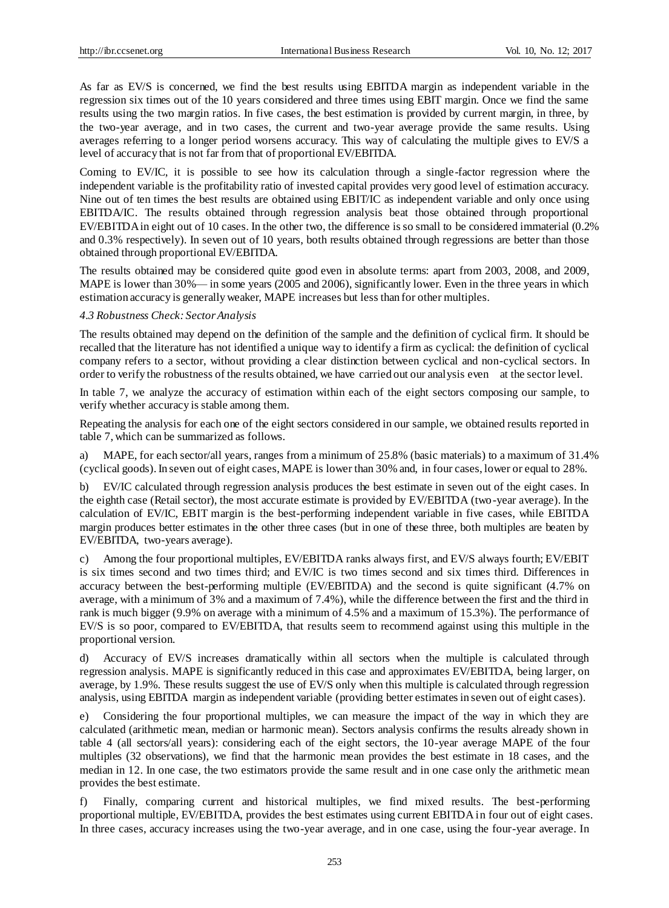As far as EV/S is concerned, we find the best results using EBITDA margin as independent variable in the regression six times out of the 10 years considered and three times using EBIT margin. Once we find the same results using the two margin ratios. In five cases, the best estimation is provided by current margin, in three, by the two-year average, and in two cases, the current and two-year average provide the same results. Using averages referring to a longer period worsens accuracy. This way of calculating the multiple gives to EV/S a level of accuracy that is not far from that of proportional EV/EBITDA.

Coming to EV/IC, it is possible to see how its calculation through a single-factor regression where the independent variable is the profitability ratio of invested capital provides very good level of estimation accuracy. Nine out of ten times the best results are obtained using EBIT/IC as independent variable and only once using EBITDA/IC. The results obtained through regression analysis beat those obtained through proportional EV/EBITDA in eight out of 10 cases. In the other two, the difference is so small to be considered immaterial (0.2% and 0.3% respectively). In seven out of 10 years, both results obtained through regressions are better than those obtained through proportional EV/EBITDA.

The results obtained may be considered quite good even in absolute terms: apart from 2003, 2008, and 2009, MAPE is lower than 30%— in some years (2005 and 2006), significantly lower. Even in the three years in which estimation accuracy is generally weaker, MAPE increases but less than for other multiples.

## *4.3 Robustness Check: Sector Analysis*

The results obtained may depend on the definition of the sample and the definition of cyclical firm. It should be recalled that the literature has not identified a unique way to identify a firm as cyclical: the definition of cyclical company refers to a sector, without providing a clear distinction between cyclical and non-cyclical sectors. In order to verify the robustness of the results obtained, we have carried out our analysis even at the sector level.

In table 7, we analyze the accuracy of estimation within each of the eight sectors composing our sample, to verify whether accuracy is stable among them.

Repeating the analysis for each one of the eight sectors considered in our sample, we obtained results reported in table 7, which can be summarized as follows.

a) MAPE, for each sector/all years, ranges from a minimum of 25.8% (basic materials) to a maximum of 31.4% (cyclical goods). In seven out of eight cases, MAPE is lower than 30% and, in four cases, lower or equal to 28%.

b) EV/IC calculated through regression analysis produces the best estimate in seven out of the eight cases. In the eighth case (Retail sector), the most accurate estimate is provided by EV/EBITDA (two-year average). In the calculation of EV/IC, EBIT margin is the best-performing independent variable in five cases, while EBITDA margin produces better estimates in the other three cases (but in one of these three, both multiples are beaten by EV/EBITDA, two-years average).

c) Among the four proportional multiples, EV/EBITDA ranks always first, and EV/S always fourth; EV/EBIT is six times second and two times third; and EV/IC is two times second and six times third. Differences in accuracy between the best-performing multiple (EV/EBITDA) and the second is quite significant (4.7% on average, with a minimum of 3% and a maximum of 7.4%), while the difference between the first and the third in rank is much bigger (9.9% on average with a minimum of 4.5% and a maximum of 15.3%). The performance of EV/S is so poor, compared to EV/EBITDA, that results seem to recommend against using this multiple in the proportional version.

d) Accuracy of EV/S increases dramatically within all sectors when the multiple is calculated through regression analysis. MAPE is significantly reduced in this case and approximates EV/EBITDA, being larger, on average, by 1.9%. These results suggest the use of EV/S only when this multiple is calculated through regression analysis, using EBITDA margin as independent variable (providing better estimates in seven out of eight cases).

Considering the four proportional multiples, we can measure the impact of the way in which they are calculated (arithmetic mean, median or harmonic mean). Sectors analysis confirms the results already shown in table 4 (all sectors/all years): considering each of the eight sectors, the 10-year average MAPE of the four multiples (32 observations), we find that the harmonic mean provides the best estimate in 18 cases, and the median in 12. In one case, the two estimators provide the same result and in one case only the arithmetic mean provides the best estimate.

Finally, comparing current and historical multiples, we find mixed results. The best-performing proportional multiple, EV/EBITDA, provides the best estimates using current EBITDA in four out of eight cases. In three cases, accuracy increases using the two-year average, and in one case, using the four-year average. In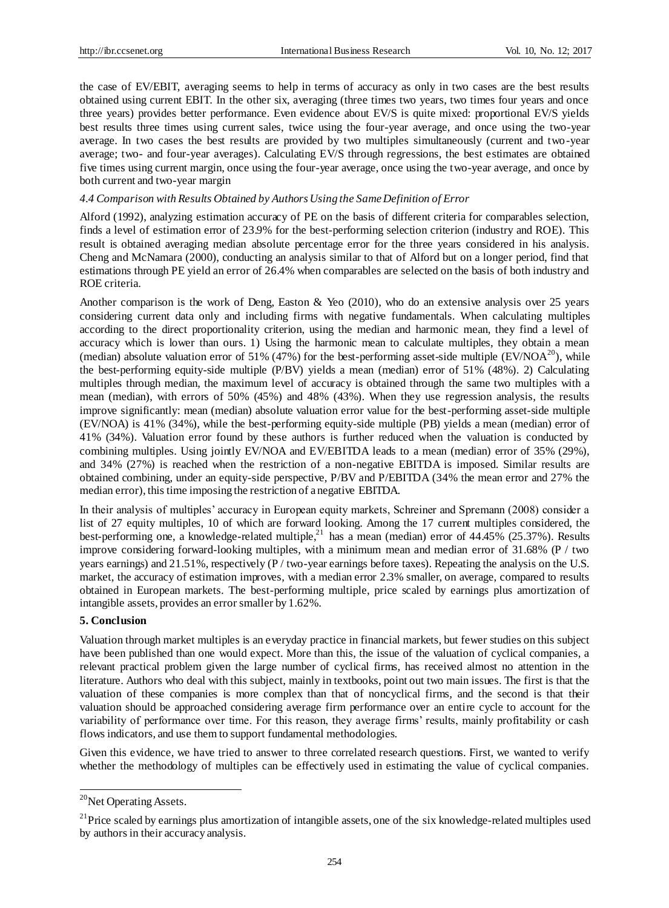the case of EV/EBIT, averaging seems to help in terms of accuracy as only in two cases are the best results obtained using current EBIT. In the other six, averaging (three times two years, two times four years and once three years) provides better performance. Even evidence about EV/S is quite mixed: proportional EV/S yields best results three times using current sales, twice using the four-year average, and once using the two-year average. In two cases the best results are provided by two multiples simultaneously (current and two-year average; two- and four-year averages). Calculating EV/S through regressions, the best estimates are obtained five times using current margin, once using the four-year average, once using the two-year average, and once by both current and two-year margin

## *4.4 Comparison with Results Obtained by AuthorsUsing the Same Definition of Error*

Alford (1992), analyzing estimation accuracy of PE on the basis of different criteria for comparables selection, finds a level of estimation error of 23.9% for the best-performing selection criterion (industry and ROE). This result is obtained averaging median absolute percentage error for the three years considered in his analysis. Cheng and McNamara (2000), conducting an analysis similar to that of Alford but on a longer period, find that estimations through PE yield an error of 26.4% when comparables are selected on the basis of both industry and ROE criteria.

Another comparison is the work of Deng, Easton & Yeo (2010), who do an extensive analysis over 25 years considering current data only and including firms with negative fundamentals. When calculating multiples according to the direct proportionality criterion, using the median and harmonic mean, they find a level of accuracy which is lower than ours. 1) Using the harmonic mean to calculate multiples, they obtain a mean (median) absolute valuation error of 51% (47%) for the best-performing asset-side multiple (EV/NOA<sup>20</sup>), while the best-performing equity-side multiple (P/BV) yields a mean (median) error of 51% (48%). 2) Calculating multiples through median, the maximum level of accuracy is obtained through the same two multiples with a mean (median), with errors of 50% (45%) and 48% (43%). When they use regression analysis, the results improve significantly: mean (median) absolute valuation error value for the best-performing asset-side multiple (EV/NOA) is 41% (34%), while the best-performing equity-side multiple (PB) yields a mean (median) error of 41% (34%). Valuation error found by these authors is further reduced when the valuation is conducted by combining multiples. Using jointly EV/NOA and EV/EBITDA leads to a mean (median) error of 35% (29%), and 34% (27%) is reached when the restriction of a non-negative EBITDA is imposed. Similar results are obtained combining, under an equity-side perspective, P/BV and P/EBITDA (34% the mean error and 27% the median error), this time imposing the restriction of a negative EBITDA.

In their analysis of multiples' accuracy in European equity markets, Schreiner and Spremann (2008) consider a list of 27 equity multiples, 10 of which are forward looking. Among the 17 current multiples considered, the best-performing one, a knowledge-related multiple,<sup>21</sup> has a mean (median) error of  $44.45\%$  (25.37%). Results improve considering forward-looking multiples, with a minimum mean and median error of 31.68% (P / two years earnings) and 21.51%, respectively (P / two-year earnings before taxes). Repeating the analysis on the U.S. market, the accuracy of estimation improves, with a median error 2.3% smaller, on average, compared to results obtained in European markets. The best-performing multiple, price scaled by earnings plus amortization of intangible assets, provides an error smaller by 1.62%.

## **5. Conclusion**

Valuation through market multiples is an everyday practice in financial markets, but fewer studies on this subject have been published than one would expect. More than this, the issue of the valuation of cyclical companies, a relevant practical problem given the large number of cyclical firms, has received almost no attention in the literature. Authors who deal with this subject, mainly in textbooks, point out two main issues. The first is that the valuation of these companies is more complex than that of noncyclical firms, and the second is that their valuation should be approached considering average firm performance over an entire cycle to account for the variability of performance over time. For this reason, they average firms' results, mainly profitability or cash flows indicators, and use them to support fundamental methodologies.

Given this evidence, we have tried to answer to three correlated research questions. First, we wanted to verify whether the methodology of multiples can be effectively used in estimating the value of cyclical companies.

1

<sup>&</sup>lt;sup>20</sup>Net Operating Assets.

 $21$ Price scaled by earnings plus amortization of intangible assets, one of the six knowledge-related multiples used by authors in their accuracy analysis.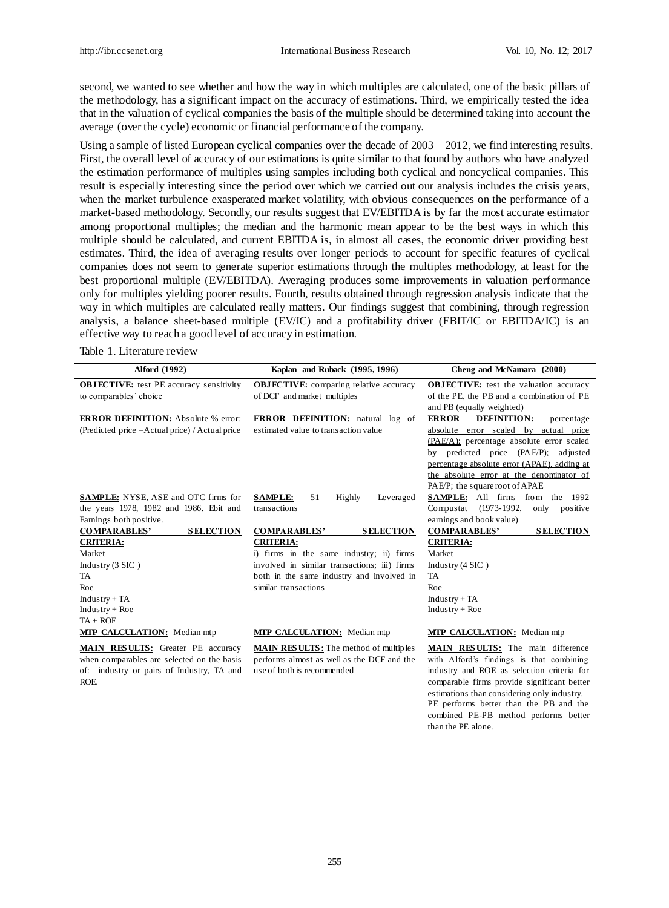PE performs better than the PB and the combined PE-PB method performs better

than the PE alone.

second, we wanted to see whether and how the way in which multiples are calculated, one of the basic pillars of the methodology, has a significant impact on the accuracy of estimations. Third, we empirically tested the idea that in the valuation of cyclical companies the basis of the multiple should be determined taking into account the average (over the cycle) economic or financial performance of the company.

Using a sample of listed European cyclical companies over the decade of 2003 – 2012, we find interesting results. First, the overall level of accuracy of our estimations is quite similar to that found by authors who have analyzed the estimation performance of multiples using samples including both cyclical and noncyclical companies. This result is especially interesting since the period over which we carried out our analysis includes the crisis years, when the market turbulence exasperated market volatility, with obvious consequences on the performance of a market-based methodology. Secondly, our results suggest that EV/EBITDA is by far the most accurate estimator among proportional multiples; the median and the harmonic mean appear to be the best ways in which this multiple should be calculated, and current EBITDA is, in almost all cases, the economic driver providing best estimates. Third, the idea of averaging results over longer periods to account for specific features of cyclical companies does not seem to generate superior estimations through the multiples methodology, at least for the best proportional multiple (EV/EBITDA). Averaging produces some improvements in valuation performance only for multiples yielding poorer results. Fourth, results obtained through regression analysis indicate that the way in which multiples are calculated really matters. Our findings suggest that combining, through regression analysis, a balance sheet-based multiple (EV/IC) and a profitability driver (EBIT/IC or EBITDA/IC) is an effective way to reach a good level of accuracy in estimation.

Table 1. Literature review

| Alford (1992)                                                                           | Kaplan and Ruback (1995, 1996)                                                             | Cheng and McNamara (2000)                                                              |  |  |  |
|-----------------------------------------------------------------------------------------|--------------------------------------------------------------------------------------------|----------------------------------------------------------------------------------------|--|--|--|
| <b>OBJECTIVE:</b> test PE accuracy sensitivity                                          | <b>OBJECTIVE:</b> comparing relative accuracy                                              | <b>OBJECTIVE:</b> test the valuation accuracy                                          |  |  |  |
| to comparables' choice                                                                  | of DCF and market multiples                                                                | of the PE, the PB and a combination of PE                                              |  |  |  |
|                                                                                         |                                                                                            | and PB (equally weighted)                                                              |  |  |  |
| <b>ERROR DEFINITION:</b> Absolute % error:                                              | <b>ERROR DEFINITION:</b> natural log of                                                    | <b>ERROR</b><br><b>DEFINITION:</b><br>percentage                                       |  |  |  |
| (Predicted price -Actual price) / Actual price                                          | estimated value to transaction value                                                       | absolute error scaled by actual price                                                  |  |  |  |
|                                                                                         |                                                                                            | (PAE/A): percentage absolute error scaled                                              |  |  |  |
|                                                                                         |                                                                                            | by predicted price (PAE/P);<br>adjusted                                                |  |  |  |
|                                                                                         |                                                                                            | percentage absolute error (APAE), adding at                                            |  |  |  |
|                                                                                         |                                                                                            | the absolute error at the denominator of                                               |  |  |  |
|                                                                                         |                                                                                            | PAE/P; the square root of APAE                                                         |  |  |  |
| <b>SAMPLE:</b> NYSE, ASE and OTC firms for                                              | <b>SAMPLE:</b><br>51<br>Highly<br>Leveraged                                                | SAMPLE: All firms from the<br>1992                                                     |  |  |  |
| the years 1978, 1982 and 1986. Ebit and<br>Earnings both positive.                      | transactions                                                                               | $(1973-1992,$<br>Compustat<br>only positive<br>earnings and book value)                |  |  |  |
| <b>COMPARABLES'</b><br><b>SELECTION</b>                                                 | <b>COMPARABLES'</b><br><b>SELECTION</b>                                                    | <b>COMPARABLES'</b><br><b>SELECTION</b>                                                |  |  |  |
| <b>CRITERIA:</b>                                                                        | <b>CRITERIA:</b>                                                                           | <b>CRITERIA:</b>                                                                       |  |  |  |
| Market                                                                                  | i) firms in the same industry; ii) firms                                                   | Market                                                                                 |  |  |  |
| Industry (3 SIC)                                                                        | involved in similar transactions: iii) firms                                               | Industry (4 SIC)                                                                       |  |  |  |
| TA                                                                                      | both in the same industry and involved in                                                  | <b>TA</b>                                                                              |  |  |  |
| Roe                                                                                     | similar transactions                                                                       | Roe                                                                                    |  |  |  |
| $Industry + TA$                                                                         |                                                                                            | $Industry + TA$                                                                        |  |  |  |
| $Industry + Roe$                                                                        |                                                                                            | $Industry + Roe$                                                                       |  |  |  |
| $TA + ROE$                                                                              |                                                                                            |                                                                                        |  |  |  |
| <b>MTP CALCULATION:</b> Median mtp                                                      | <b>MTP CALCULATION:</b> Median mtp                                                         | <b>MTP CALCULATION:</b> Median mtp                                                     |  |  |  |
| <b>MAIN RESULTS:</b> Greater PE accuracy                                                | <b>MAIN RESULTS:</b> The method of multiples<br>performs almost as well as the DCF and the | MAIN RESULTS: The main difference                                                      |  |  |  |
| when comparables are selected on the basis<br>of: industry or pairs of Industry, TA and | use of both is recommended                                                                 | with Alford's findings is that combining<br>industry and ROE as selection criteria for |  |  |  |
| ROE.                                                                                    |                                                                                            | comparable firms provide significant better                                            |  |  |  |
|                                                                                         |                                                                                            | estimations than considering only industry.                                            |  |  |  |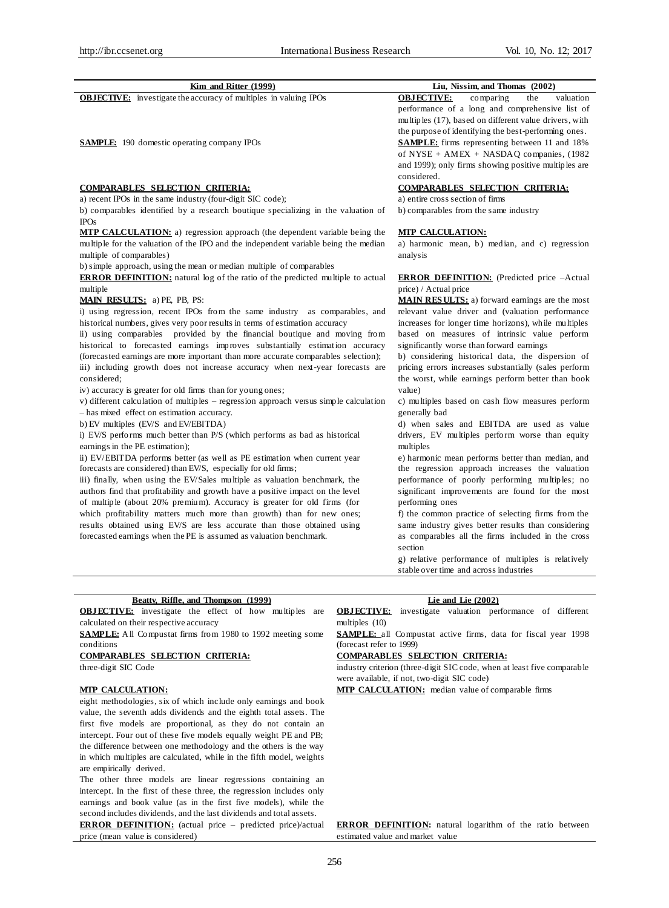| Kim and Ritter (1999)                                                                                                                               | Liu, Nissim, and Thomas (2002)                                            |
|-----------------------------------------------------------------------------------------------------------------------------------------------------|---------------------------------------------------------------------------|
| <b>OBJECTIVE:</b> investigate the accuracy of multiples in valuing IPOs                                                                             | <b>OBJECTIVE:</b><br>comparing<br>the<br>valuation                        |
|                                                                                                                                                     | performance of a long and comprehensive list of                           |
|                                                                                                                                                     | multiples (17), based on different value drivers, with                    |
|                                                                                                                                                     | the purpose of identifying the best-performing ones.                      |
| <b>SAMPLE:</b> 190 domestic operating company IPOs                                                                                                  | <b>SAMPLE:</b> firms representing between 11 and 18%                      |
|                                                                                                                                                     | of NYSE + AMEX + NASDAQ companies, $(1982$                                |
|                                                                                                                                                     | and 1999); only firms showing positive multiples are                      |
|                                                                                                                                                     | considered.                                                               |
| <b>COMPARABLES SELECTION CRITERIA:</b>                                                                                                              | <b>COMPARABLES SELECTION CRITERIA:</b>                                    |
| a) recent IPOs in the same industry (four-digit SIC code);<br>b) comparables identified by a research boutique specializing in the valuation of     | a) entire cross section of firms<br>b) comparables from the same industry |
| <b>IPOs</b>                                                                                                                                         |                                                                           |
| <b>MTP CALCULATION:</b> a) regression approach (the dependent variable being the                                                                    | <b>MIP CALCULATION:</b>                                                   |
| multiple for the valuation of the IPO and the independent variable being the median                                                                 | a) harmonic mean, b) median, and c) regression                            |
| multiple of comparables)                                                                                                                            | analysis                                                                  |
| b) simple approach, using the mean or median multiple of comparables                                                                                |                                                                           |
| <b>ERROR DEFINITION:</b> natural log of the ratio of the predicted multiple to actual                                                               | <b>ERROR DEFINITION:</b> (Predicted price -Actual                         |
| multiple                                                                                                                                            | price) / Actual price                                                     |
| <b>MAIN RESULTS:</b> a) PE, PB, PS:                                                                                                                 | <b>MAIN RESULTS:</b> a) forward earnings are the most                     |
| i) using regression, recent IPOs from the same industry as comparables, and                                                                         | relevant value driver and (valuation performance                          |
| historical numbers, gives very poor results in terms of estimation accuracy                                                                         | increases for longer time horizons), while multiples                      |
| ii) using comparables provided by the financial boutique and moving from                                                                            | based on measures of intrinsic value perform                              |
| historical to forecasted earnings improves substantially estimation accuracy                                                                        | significantly worse than forward earnings                                 |
| (forecasted earnings are more important than more accurate comparables selection);                                                                  | b) considering historical data, the dispersion of                         |
| iii) including growth does not increase accuracy when next-year forecasts are                                                                       | pricing errors increases substantially (sales perform                     |
| considered;                                                                                                                                         | the worst, while earnings perform better than book                        |
| iv) accuracy is greater for old firms than for young ones;<br>v) different calculation of multiples - regression approach versus simple calculation | value)<br>c) multiples based on cash flow measures perform                |
|                                                                                                                                                     |                                                                           |
| - has mixed effect on estimation accuracy.<br>b) EV multiples (EV/S and EV/EBITDA)                                                                  | generally bad<br>d) when sales and EBITDA are used as value               |
| i) EV/S performs much better than P/S (which performs as bad as historical                                                                          | drivers, EV multiples perform worse than equity                           |
| earnings in the PE estimation);                                                                                                                     | multiples                                                                 |
| ii) EV/EBITDA performs better (as well as PE estimation when current year                                                                           | e) harmonic mean performs better than median, and                         |
| forecasts are considered) than EV/S, especially for old firms;                                                                                      | the regression approach increases the valuation                           |
| iii) finally, when using the EV/Sales multiple as valuation benchmark, the                                                                          | performance of poorly performing multiples; no                            |
| authors find that profitability and growth have a positive impact on the level                                                                      | significant improvements are found for the most                           |
| of multiple (about 20% premium). Accuracy is greater for old firms (for                                                                             | performing ones                                                           |
| which profitability matters much more than growth) than for new ones;                                                                               | f) the common practice of selecting firms from the                        |
| results obtained using EV/S are less accurate than those obtained using                                                                             | same industry gives better results than considering                       |
| forecasted earnings when the PE is assumed as valuation benchmark.                                                                                  | as comparables all the firms included in the cross                        |
|                                                                                                                                                     | section                                                                   |
|                                                                                                                                                     | g) relative performance of multiples is relatively                        |
|                                                                                                                                                     | stable over time and across industries                                    |

## **Beatty, Riffle, and Thompson (1999) Lie and Lie (2002)**

**OBJECTIVE:** investigate the effect of how multiples are calculated on their respective accuracy

**SAMPLE:** All Compustat firms from 1980 to 1992 meeting some conditions

#### **COMPARABLES SELECTION CRITERIA:**

three-digit SIC Code

#### **MTP CALCULATION:**

eight methodologies, six of which include only earnings and book value, the seventh adds dividends and the eighth total assets. The first five models are proportional, as they do not contain an intercept. Four out of these five models equally weight PE and PB; the difference between one methodology and the others is the way in which multiples are calculated, while in the fifth model, weights are empirically derived.

The other three models are linear regressions containing an intercept. In the first of these three, the regression includes only earnings and book value (as in the first five models), while the second includes dividends, and the last dividends and total assets.

**ERROR DEFINITION:** (actual price – predicted price)/actual price (mean value is considered)

**OBJECTIVE:** investigate valuation performance of different multiples (10)

**SAMPLE:** all Compustat active firms, data for fiscal year 1998 (forecast refer to 1999)

#### **COMPARABLES SELECTION CRITERIA:**

industry criterion (three-digit SIC code, when at least five comparable were available, if not, two-digit SIC code)

**MTP CALCULATION:** median value of comparable firms

**ERROR DEFINITION:** natural logarithm of the ratio between estimated value and market value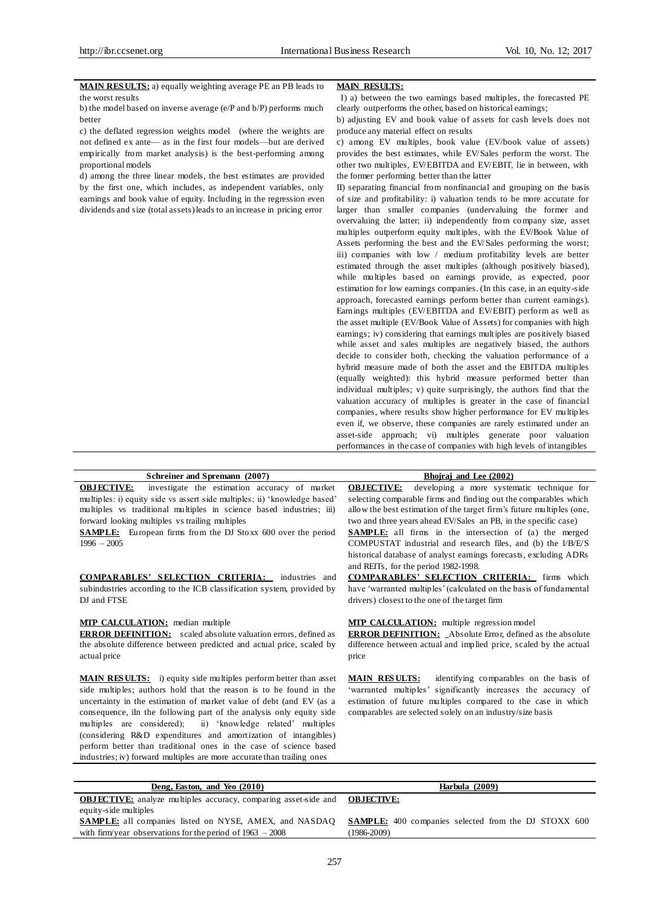proportional models

better

**MAIN RES ULTS:** a) equally weighting average PE an PB leads to the worst results

# **MAIN RESULTS:**

b) the model based on inverse average (e/P and b/P) performs much I) a) between the two earnings based multiples, the forecasted PE clearly outperforms the other, based on historical earnings;

b) adjusting EV and book value of assets for cash levels does not produce any material effect on results

c) the deflated regression weights model (where the weights are not defined ex ante— as in the first four models—but are derived empirically from market analysis) is the best-performing among

d) among the three linear models, the best estimates are provided by the first one, which includes, as independent variables, only earnings and book value of equity. Including in the regression even dividends and size (total assets) leads to an increase in pricing error

industries; iv) forward multiples are more accurate than trailing ones

c) among EV multiples, book value (EV/book value of assets) provides the best estimates, while EV/Sales perform the worst. The other two multiples, EV/EBITDA and EV/EBIT, lie in between, with the former performing better than the latter

II) separating financial from nonfinancial and grouping on the basis of size and profitability: i) valuation tends to be more accurate for larger than smaller companies (undervaluing the former and overvaluing the latter; ii) independently from company size, asset multiples outperform equity multiples, with the EV/Book Value of Assets performing the best and the EV/Sales performing the worst; iii) companies with low / medium profitability levels are better estimated through the asset multiples (although positively biased), while multiples based on earnings provide, as expected, poor estimation for low earnings companies. (In this case, in an equity-side approach, forecasted earnings perform better than current earnings). Earnings multiples (EV/EBITDA and EV/EBIT) perform as well as the asset multiple (EV/Book Value of Assets) for companies with high earnings; iv) considering that earnings multiples are positively biased while asset and sales multiples are negatively biased, the authors decide to consider both, checking the valuation performance of a hybrid measure made of both the asset and the EBITDA multiples (equally weighted): this hybrid measure performed better than individual multiples; v) quite surprisingly, the authors find that the valuation accuracy of multiples is greater in the case of financial companies, where results show higher performance for EV multiples even if, we observe, these companies are rarely estimated under an asset-side approach; vi) multiples generate poor valuation performances in the case of companies with high levels of intangibles

| Schreiner and Spremann (2007)                                             | Bhojraj and Lee (2002)                                                |  |  |  |
|---------------------------------------------------------------------------|-----------------------------------------------------------------------|--|--|--|
| <b>OBJECTIVE:</b><br>investigate the estimation accuracy of market        | developing a more systematic technique for<br><b>OBJECTIVE:</b>       |  |  |  |
| multiples: i) equity side vs assert side multiples; ii) 'knowledge based' | selecting comparable firms and finding out the comparables which      |  |  |  |
| multiples vs traditional multiples in science based industries; iii)      | allow the best estimation of the target firm's future multiples (one, |  |  |  |
| forward looking multiples vs trailing multiples                           | two and three years ahead EV/Sales an PB, in the specific case)       |  |  |  |
| <b>SAMPLE:</b> European firms from the DJ Stoxx 600 over the period       | <b>SAMPLE:</b> all firms in the intersection of (a) the merged        |  |  |  |
| $1996 - 2005$                                                             | COMPUSTAT industrial and research files, and (b) the I/B/E/S          |  |  |  |
|                                                                           | historical database of analyst earnings forecasts, excluding ADRs     |  |  |  |
|                                                                           | and REITs, for the period 1982-1998.                                  |  |  |  |
| <b>COMPARABLES' SELECTION CRITERIA:</b> industries and                    | <b>COMPARABLES' SELECTION CRITERIA:</b> firms which                   |  |  |  |
| subindustries according to the ICB classification system, provided by     | have 'warranted multiples' (calculated on the basis of fundamental    |  |  |  |
| DJ and FTSE                                                               | drivers) closest to the one of the target firm                        |  |  |  |
| <b>MTP CALCULATION:</b> median multiple                                   | <b>MTP CALCULATION:</b> multiple regression model                     |  |  |  |
| <b>ERROR DEFINITION:</b> scaled absolute valuation errors, defined as     | <b>ERROR DEFINITION:</b> Absolute Error, defined as the absolute      |  |  |  |
| the absolute difference between predicted and actual price, scaled by     | difference between actual and implied price, scaled by the actual     |  |  |  |
| actual price                                                              | price                                                                 |  |  |  |
| <b>MAIN RESULTS:</b> i) equity side multiples perform better than asset   | <b>MAIN RESULTS:</b><br>identifying comparables on the basis of       |  |  |  |
| side multiples; authors hold that the reason is to be found in the        | 'warranted multiples' significantly increases the accuracy of         |  |  |  |
| uncertainty in the estimation of market value of debt (and EV (as a       | estimation of future multiples compared to the case in which          |  |  |  |
| consequence, iIn the following part of the analysis only equity side      | comparables are selected solely on an industry/size basis             |  |  |  |
| multiples are considered); ii) 'knowledge related' multiples              |                                                                       |  |  |  |
| (considering R&D expenditures and amortization of intangibles)            |                                                                       |  |  |  |
| perform better than traditional ones in the case of science based         |                                                                       |  |  |  |

| Deng, Easton, and Yeo $(2010)$                                         | Harbula (2009)                                              |
|------------------------------------------------------------------------|-------------------------------------------------------------|
| <b>OBJECTIVE:</b> analyze multiples accuracy, comparing asset-side and | <b>OBJECTIVE:</b>                                           |
| equity-side multiples                                                  |                                                             |
| <b>SAMPLE:</b> all companies listed on NYSE, AMEX, and NASDAO          | <b>SAMPLE:</b> 400 companies selected from the DJ STOXX 600 |
| with firm/year observations for the period of $1963 - 2008$            | (1986-2009)                                                 |
|                                                                        |                                                             |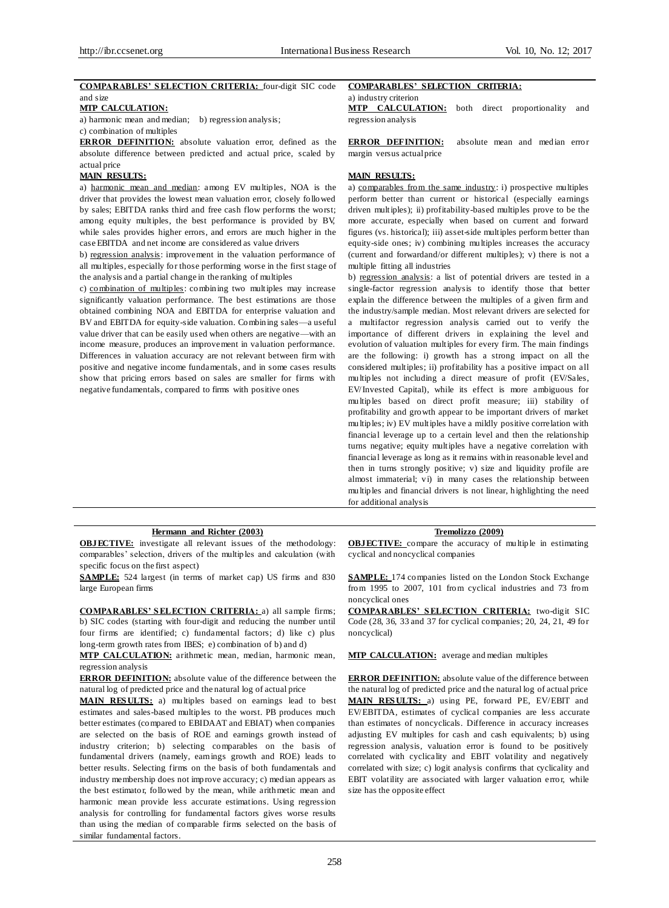## **COMPARABLES' S ELECTION CRITERIA:** four-digit SIC code and size

## **MTP CALCULATION:**

a) harmonic mean and median; b) regression analysis;

c) combination of multiples

**ERROR DEFINITION:** absolute valuation error, defined as the absolute difference between predicted and actual price, scaled by actual price

### **MAIN RESULTS:**

a) harmonic mean and median: among EV multiples, NOA is the driver that provides the lowest mean valuation error, closely followed by sales; EBITDA ranks third and free cash flow performs the worst; among equity multiples, the best performance is provided by BV, while sales provides higher errors, and errors are much higher in the case EBITDA and net income are considered as value drivers

b) regression analysis: improvement in the valuation performance of all multiples, especially for those performing worse in the first stage of the analysis and a partial change in the ranking of multiples

c) combination of multiples: combining two multiples may increase significantly valuation performance. The best estimations are those obtained combining NOA and EBITDA for enterprise valuation and BV and EBITDA for equity-side valuation. Combining sales—a useful value driver that can be easily used when others are negative—with an income measure, produces an improvement in valuation performance. Differences in valuation accuracy are not relevant between firm with positive and negative income fundamentals, and in some cases results show that pricing errors based on sales are smaller for firms with negative fundamentals, compared to firms with positive ones

## **COMPARABLES' SELECTION CRITERIA:**

a) industry criterion

MTP CALCULATION: both direct proportionality and regression analysis

**ERROR DEFINITION:** absolute mean and median error margin versus actual price

#### **MAIN RESULTS:**

a) comparables from the same industry: i) prospective multiples perform better than current or historical (especially earnings driven multiples); ii) profitability-based multiples prove to be the more accurate, especially when based on current and forward figures (vs. historical); iii) asset-side multiples perform better than equity-side ones; iv) combining multiples increases the accuracy (current and forwardand/or different multiples); v) there is not a multiple fitting all industries

b) regression analysis: a list of potential drivers are tested in a single-factor regression analysis to identify those that better explain the difference between the multiples of a given firm and the industry/sample median. Most relevant drivers are selected for a multifactor regression analysis carried out to verify the importance of different drivers in explaining the level and evolution of valuation multiples for every firm. The main findings are the following: i) growth has a strong impact on all the considered multiples; ii) profitability has a positive impact on all multiples not including a direct measure of profit (EV/Sales, EV/Invested Capital), while its effect is more ambiguous for multiples based on direct profit measure; iii) stability of profitability and growth appear to be important drivers of market multiples; iv) EV multiples have a mildly positive correlation with financial leverage up to a certain level and then the relationship turns negative; equity multiples have a negative correlation with financial leverage as long as it remains within reasonable level and then in turns strongly positive; v) size and liquidity profile are almost immaterial; vi) in many cases the relationship between multiples and financial drivers is not linear, highlighting the need for additional analysis

#### **Hermann and Richter (2003) Tremolizzo (2009)**

**OBJECTIVE:** investigate all relevant issues of the methodology: comparables' selection, drivers of the multiples and calculation (with specific focus on the first aspect)

**SAMPLE:** 524 largest (in terms of market cap) US firms and 830 large European firms

**COMPARABLES' S ELECTION CRITERIA:** a) all sample firms; b) SIC codes (starting with four-digit and reducing the number until four firms are identified; c) fundamental factors; d) like c) plus long-term growth rates from IBES; e) combination of b) and d)

**MTP CALCULATION:** arithmetic mean, median, harmonic mean, regression analysis

**ERROR DEFINITION:** absolute value of the difference between the natural log of predicted price and the natural log of actual price

MAIN RESULTS: a) multiples based on earnings lead to best estimates and sales-based multiples to the worst. PB produces much better estimates (compared to EBIDAAT and EBIAT) when companies are selected on the basis of ROE and earnings growth instead of industry criterion; b) selecting comparables on the basis of fundamental drivers (namely, earnings growth and ROE) leads to better results. Selecting firms on the basis of both fundamentals and industry membership does not improve accuracy; c) median appears as the best estimator, followed by the mean, while arithmetic mean and harmonic mean provide less accurate estimations. Using regression analysis for controlling for fundamental factors gives worse results than using the median of comparable firms selected on the basis of similar fundamental factors.

**OBJECTIVE:** compare the accuracy of multiple in estimating cyclical and noncyclical companies

**SAMPLE:** 174 companies listed on the London Stock Exchange from 1995 to 2007, 101 from cyclical industries and 73 from noncyclical ones

**COMPARABLES' S ELECTION CRITERIA:** two-digit SIC Code (28, 36, 33 and 37 for cyclical companies; 20, 24, 21, 49 for noncyclical)

**MTP CALCULATION:** average and median multiples

**ERROR DEFINITION:** absolute value of the difference between the natural log of predicted price and the natural log of actual price **MAIN RES ULTS:** a) using PE, forward PE, EV/EBIT and EV/EBITDA, estimates of cyclical companies are less accurate than estimates of noncyclicals. Difference in accuracy increases adjusting EV multiples for cash and cash equivalents; b) using regression analysis, valuation error is found to be positively correlated with cyclicality and EBIT volatility and negatively correlated with size; c) logit analysis confirms that cyclicality and EBIT volatility are associated with larger valuation error, while size has the opposite effect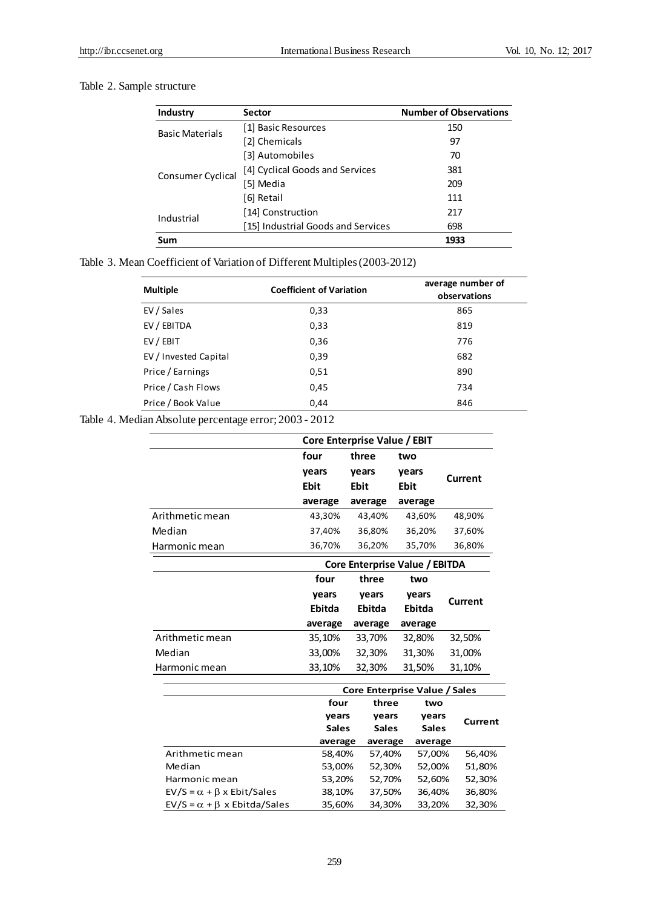## Table 2. Sample structure

| Industry               | <b>Sector</b>                      | <b>Number of Observations</b> |
|------------------------|------------------------------------|-------------------------------|
| <b>Basic Materials</b> | [1] Basic Resources                | 150                           |
|                        | [2] Chemicals                      | 97                            |
|                        | [3] Automobiles                    | 70                            |
|                        | [4] Cyclical Goods and Services    | 381                           |
| Consumer Cyclical      | [5] Media                          | 209                           |
|                        | [6] Retail                         | 111                           |
| Industrial             | [14] Construction                  | 217                           |
|                        | [15] Industrial Goods and Services | 698                           |
| Sum                    |                                    | 1933                          |

## Table 3. Mean Coefficient of Variation of Different Multiples (2003-2012)

| <b>Multiple</b>       | <b>Coefficient of Variation</b> | average number of<br>observations |
|-----------------------|---------------------------------|-----------------------------------|
| EV / Sales            | 0,33                            | 865                               |
| EV / EBITDA           | 0,33                            | 819                               |
| EV / EBIT             | 0,36                            | 776                               |
| EV / Invested Capital | 0,39                            | 682                               |
| Price / Earnings      | 0,51                            | 890                               |
| Price / Cash Flows    | 0,45                            | 734                               |
| Price / Book Value    | 0,44                            | 846                               |

## Table 4. Median Absolute percentage error; 2003 - 2012

|                                        | Core Enterprise Value / EBIT   |                               |              |                |
|----------------------------------------|--------------------------------|-------------------------------|--------------|----------------|
|                                        | four                           | three                         | two          |                |
|                                        | years                          | years                         | years        |                |
|                                        | <b>Ebit</b>                    | <b>Ebit</b>                   | <b>Ebit</b>  | <b>Current</b> |
|                                        | average                        | average<br>average            |              |                |
| Arithmetic mean                        | 43,30%                         | 43,40%                        | 43,60%       | 48,90%         |
| Median                                 | 37,40%                         | 36,80%                        | 36,20%       | 37,60%         |
| Harmonic mean                          | 36,70%                         | 36,20%                        | 35,70%       | 36,80%         |
|                                        | Core Enterprise Value / EBITDA |                               |              |                |
|                                        | four                           |                               |              |                |
|                                        | years                          | years                         | years        |                |
|                                        | Ebitda                         | Ebitda                        | Ebitda       | <b>Current</b> |
|                                        | average                        | average                       | average      |                |
| Arithmetic mean                        | 35,10%                         | 33,70%                        | 32,80%       | 32,50%         |
| Median                                 | 33,00%                         | 32,30%                        | 31,30%       | 31,00%         |
| Harmonic mean                          | 33,10%                         | 32,30%                        | 31,50%       | 31,10%         |
|                                        |                                | Core Enterprise Value / Sales |              |                |
|                                        | four                           | three                         | two          |                |
|                                        | years                          | years                         | years        | Current        |
|                                        | <b>Sales</b>                   | <b>Sales</b>                  | <b>Sales</b> |                |
|                                        | average                        | average                       | average      |                |
| Arithmetic mean                        | 58,40%                         | 57,40%                        | 57,00%       | 56,40%         |
| Median                                 | 53,00%                         | 52,30%                        | 52,00%       | 51,80%         |
| Harmonic mean                          | 53,20%                         | 52,70%                        | 52,60%       | 52,30%         |
| $EV/S = \alpha + \beta x$ Ebit/Sales   | 38,10%                         | 37,50%                        | 36,40%       | 36,80%         |
| $EV/S = \alpha + \beta$ x Ebitda/Sales | 35,60%                         | 34,30%                        | 33,20%       | 32,30%         |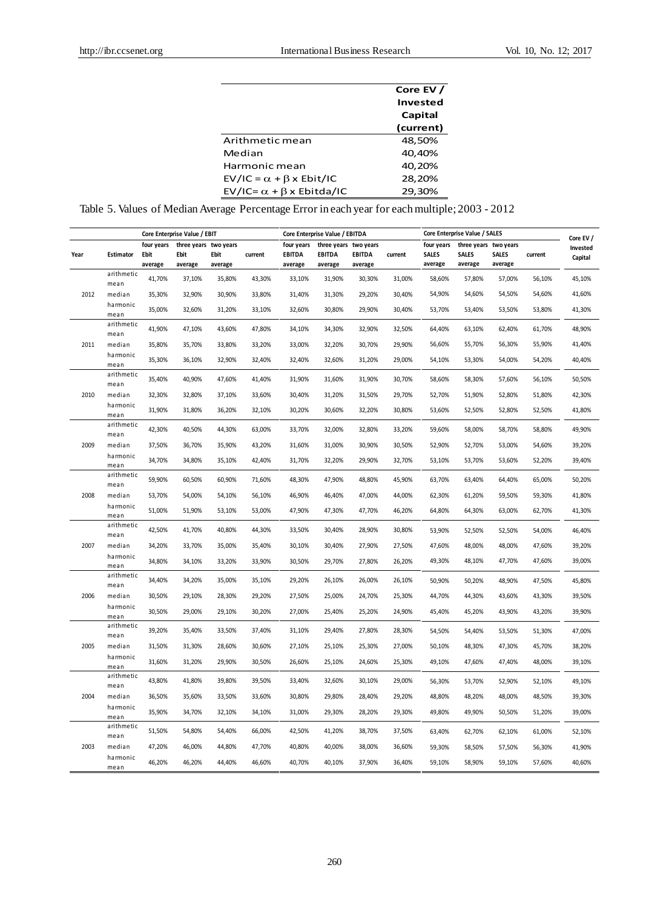|                                         | Core EV / |
|-----------------------------------------|-----------|
|                                         | Invested  |
|                                         | Capital   |
|                                         | (current) |
| Arithmetic mean                         | 48,50%    |
| Median                                  | 40,40%    |
| Harmonic mean                           | 40,20%    |
| $EV/IC = \alpha + \beta \times Ebit/IC$ | 28,20%    |
| EV/IC= $\alpha$ + $\beta$ x Ebitda/IC   | 29,30%    |

Table 5. Values of Median Average Percentage Error in each year for each multiple; 2003 - 2012

|      |                    |                               | Core Enterprise Value / EBIT |                                          |         |                                        | Core Enterprise Value / EBITDA |                                                   |         | Core Enterprise Value / SALES         |                                                  |                         |         | Core EV /           |
|------|--------------------|-------------------------------|------------------------------|------------------------------------------|---------|----------------------------------------|--------------------------------|---------------------------------------------------|---------|---------------------------------------|--------------------------------------------------|-------------------------|---------|---------------------|
| Year | Estimator          | four years<br>Ebit<br>average | <b>Ebit</b><br>average       | three years two years<br>Ebit<br>average | current | four years<br><b>EBITDA</b><br>average | <b>EBITDA</b><br>average       | three years two years<br><b>EBITDA</b><br>average | current | four years<br><b>SALES</b><br>average | three years two years<br><b>SALES</b><br>average | <b>SALES</b><br>average | current | Invested<br>Capital |
|      | arithmetic<br>mean | 41,70%                        | 37,10%                       | 35,80%                                   | 43,30%  | 33,10%                                 | 31,90%                         | 30,30%                                            | 31,00%  | 58,60%                                | 57,80%                                           | 57,00%                  | 56,10%  | 45,10%              |
| 2012 | median             | 35,30%                        | 32,90%                       | 30,90%                                   | 33,80%  | 31,40%                                 | 31,30%                         | 29,20%                                            | 30,40%  | 54,90%                                | 54,60%                                           | 54,50%                  | 54,60%  | 41,60%              |
|      | harmonic<br>mean   | 35,00%                        | 32,60%                       | 31,20%                                   | 33,10%  | 32,60%                                 | 30,80%                         | 29,90%                                            | 30,40%  | 53,70%                                | 53,40%                                           | 53,50%                  | 53,80%  | 41,30%              |
|      | arithmetic<br>mean | 41,90%                        | 47,10%                       | 43,60%                                   | 47,80%  | 34,10%                                 | 34,30%                         | 32,90%                                            | 32,50%  | 64,40%                                | 63,10%                                           | 62,40%                  | 61,70%  | 48,90%              |
| 2011 | median             | 35,80%                        | 35,70%                       | 33,80%                                   | 33,20%  | 33,00%                                 | 32,20%                         | 30,70%                                            | 29,90%  | 56,60%                                | 55,70%                                           | 56,30%                  | 55,90%  | 41,40%              |
|      | harmonic<br>mean   | 35,30%                        | 36,10%                       | 32,90%                                   | 32,40%  | 32,40%                                 | 32,60%                         | 31,20%                                            | 29,00%  | 54,10%                                | 53,30%                                           | 54,00%                  | 54,20%  | 40,40%              |
|      | arithmetic<br>mean | 35,40%                        | 40,90%                       | 47,60%                                   | 41,40%  | 31,90%                                 | 31,60%                         | 31,90%                                            | 30,70%  | 58,60%                                | 58,30%                                           | 57,60%                  | 56,10%  | 50,50%              |
| 2010 | median             | 32,30%                        | 32,80%                       | 37,10%                                   | 33,60%  | 30,40%                                 | 31,20%                         | 31,50%                                            | 29,70%  | 52,70%                                | 51,90%                                           | 52,80%                  | 51,80%  | 42,30%              |
|      | harmonic<br>mean   | 31,90%                        | 31,80%                       | 36,20%                                   | 32,10%  | 30,20%                                 | 30,60%                         | 32,20%                                            | 30,80%  | 53,60%                                | 52,50%                                           | 52,80%                  | 52,50%  | 41,80%              |
|      | arithmetic<br>mean | 42,30%                        | 40,50%                       | 44,30%                                   | 63,00%  | 33,70%                                 | 32,00%                         | 32,80%                                            | 33,20%  | 59,60%                                | 58,00%                                           | 58,70%                  | 58,80%  | 49,90%              |
| 2009 | median             | 37,50%                        | 36,70%                       | 35,90%                                   | 43,20%  | 31,60%                                 | 31,00%                         | 30,90%                                            | 30,50%  | 52,90%                                | 52,70%                                           | 53,00%                  | 54,60%  | 39,20%              |
|      | harmonic<br>mean   | 34,70%                        | 34,80%                       | 35,10%                                   | 42,40%  | 31,70%                                 | 32,20%                         | 29,90%                                            | 32,70%  | 53,10%                                | 53,70%                                           | 53,60%                  | 52,20%  | 39,40%              |
|      | arithmetic<br>mean | 59,90%                        | 60,50%                       | 60,90%                                   | 71,60%  | 48,30%                                 | 47,90%                         | 48,80%                                            | 45,90%  | 63,70%                                | 63,40%                                           | 64,40%                  | 65,00%  | 50,20%              |
| 2008 | median             | 53,70%                        | 54,00%                       | 54,10%                                   | 56,10%  | 46,90%                                 | 46,40%                         | 47,00%                                            | 44,00%  | 62,30%                                | 61,20%                                           | 59,50%                  | 59,30%  | 41,80%              |
|      | harmonic<br>mean   | 51,00%                        | 51,90%                       | 53,10%                                   | 53,00%  | 47,90%                                 | 47,30%                         | 47,70%                                            | 46,20%  | 64,80%                                | 64,30%                                           | 63,00%                  | 62,70%  | 41,30%              |
|      | arithmetic<br>mean | 42,50%                        | 41,70%                       | 40,80%                                   | 44,30%  | 33,50%                                 | 30,40%                         | 28,90%                                            | 30,80%  | 53,90%                                | 52,50%                                           | 52,50%                  | 54,00%  | 46,40%              |
| 2007 | median             | 34,20%                        | 33,70%                       | 35,00%                                   | 35,40%  | 30,10%                                 | 30,40%                         | 27,90%                                            | 27,50%  | 47,60%                                | 48,00%                                           | 48,00%                  | 47,60%  | 39,20%              |
|      | harmonic<br>mean   | 34,80%                        | 34,10%                       | 33,20%                                   | 33,90%  | 30,50%                                 | 29,70%                         | 27,80%                                            | 26,20%  | 49,30%                                | 48,10%                                           | 47,70%                  | 47,60%  | 39,00%              |
|      | arithmetic<br>mean | 34,40%                        | 34,20%                       | 35,00%                                   | 35,10%  | 29,20%                                 | 26,10%                         | 26,00%                                            | 26,10%  | 50,90%                                | 50,20%                                           | 48,90%                  | 47,50%  | 45,80%              |
| 2006 | median             | 30,50%                        | 29,10%                       | 28,30%                                   | 29,20%  | 27,50%                                 | 25,00%                         | 24,70%                                            | 25,30%  | 44,70%                                | 44,30%                                           | 43,60%                  | 43,30%  | 39,50%              |
|      | harmonic<br>mean   | 30,50%                        | 29,00%                       | 29,10%                                   | 30,20%  | 27,00%                                 | 25,40%                         | 25,20%                                            | 24,90%  | 45,40%                                | 45,20%                                           | 43,90%                  | 43,20%  | 39,90%              |
|      | arithmetic<br>mean | 39,20%                        | 35,40%                       | 33,50%                                   | 37,40%  | 31,10%                                 | 29,40%                         | 27,80%                                            | 28,30%  | 54,50%                                | 54,40%                                           | 53,50%                  | 51,30%  | 47,00%              |
| 2005 | median             | 31,50%                        | 31,30%                       | 28,60%                                   | 30,60%  | 27,10%                                 | 25,10%                         | 25,30%                                            | 27,00%  | 50,10%                                | 48,30%                                           | 47,30%                  | 45,70%  | 38,20%              |
|      | harmonic<br>mean   | 31,60%                        | 31,20%                       | 29,90%                                   | 30,50%  | 26,60%                                 | 25,10%                         | 24,60%                                            | 25,30%  | 49,10%                                | 47,60%                                           | 47,40%                  | 48,00%  | 39,10%              |
|      | arithmetic<br>mean | 43,80%                        | 41,80%                       | 39,80%                                   | 39,50%  | 33,40%                                 | 32,60%                         | 30,10%                                            | 29,00%  | 56,30%                                | 53,70%                                           | 52,90%                  | 52,10%  | 49,10%              |
| 2004 | median             | 36,50%                        | 35,60%                       | 33,50%                                   | 33,60%  | 30,80%                                 | 29,80%                         | 28,40%                                            | 29,20%  | 48,80%                                | 48,20%                                           | 48,00%                  | 48,50%  | 39,30%              |
|      | harmonic<br>mean   | 35,90%                        | 34,70%                       | 32,10%                                   | 34,10%  | 31,00%                                 | 29,30%                         | 28,20%                                            | 29,30%  | 49,80%                                | 49,90%                                           | 50,50%                  | 51,20%  | 39,00%              |
|      | arithmetic<br>mean | 51,50%                        | 54,80%                       | 54,40%                                   | 66,00%  | 42,50%                                 | 41,20%                         | 38,70%                                            | 37,50%  | 63,40%                                | 62,70%                                           | 62,10%                  | 61,00%  | 52,10%              |
| 2003 | median             | 47,20%                        | 46,00%                       | 44,80%                                   | 47,70%  | 40,80%                                 | 40,00%                         | 38,00%                                            | 36,60%  | 59,30%                                | 58,50%                                           | 57,50%                  | 56,30%  | 41,90%              |
|      | harmonic<br>mean   | 46,20%                        | 46,20%                       | 44,40%                                   | 46,60%  | 40,70%                                 | 40,10%                         | 37,90%                                            | 36,40%  | 59,10%                                | 58,90%                                           | 59,10%                  | 57,60%  | 40,60%              |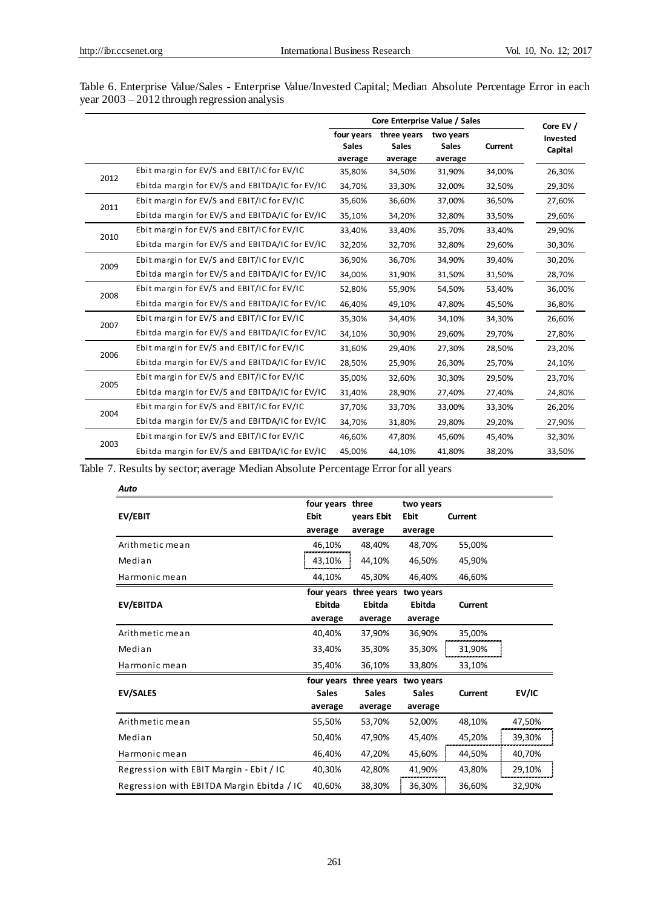Table 6. Enterprise Value/Sales - Enterprise Value/Invested Capital; Median Absolute Percentage Error in each year 2003 – 2012 through regression analysis

|      |                                                |                            | Core Enterprise Value / Sales |                           |         |                                  |  |
|------|------------------------------------------------|----------------------------|-------------------------------|---------------------------|---------|----------------------------------|--|
|      |                                                | four years<br><b>Sales</b> | three years<br><b>Sales</b>   | two years<br><b>Sales</b> | Current | Core EV /<br>Invested<br>Capital |  |
|      |                                                | average                    | average                       | average                   |         |                                  |  |
| 2012 | Ebit margin for EV/S and EBIT/IC for EV/IC     | 35,80%                     | 34,50%                        | 31,90%                    | 34,00%  | 26,30%                           |  |
|      | Ebitda margin for EV/S and EBITDA/IC for EV/IC | 34,70%                     | 33,30%                        | 32,00%                    | 32,50%  | 29,30%                           |  |
| 2011 | Ebit margin for EV/S and EBIT/IC for EV/IC     | 35,60%                     | 36,60%                        | 37,00%                    | 36,50%  | 27,60%                           |  |
|      | Ebitda margin for EV/S and EBITDA/IC for EV/IC | 35,10%                     | 34,20%                        | 32,80%                    | 33,50%  | 29,60%                           |  |
| 2010 | Ebit margin for EV/S and EBIT/IC for EV/IC     | 33,40%                     | 33,40%                        | 35,70%                    | 33,40%  | 29,90%                           |  |
|      | Ebitda margin for EV/S and EBITDA/IC for EV/IC | 32,20%                     | 32,70%                        | 32,80%                    | 29,60%  | 30,30%                           |  |
| 2009 | Ebit margin for EV/S and EBIT/IC for EV/IC     | 36,90%                     | 36,70%                        | 34,90%                    | 39,40%  | 30,20%                           |  |
|      | Ebitda margin for EV/S and EBITDA/IC for EV/IC | 34,00%                     | 31,90%                        | 31,50%                    | 31,50%  | 28,70%                           |  |
| 2008 | Ebit margin for EV/S and EBIT/IC for EV/IC     | 52,80%                     | 55,90%                        | 54,50%                    | 53,40%  | 36,00%                           |  |
|      | Ebitda margin for EV/S and EBITDA/IC for EV/IC | 46,40%                     | 49,10%                        | 47,80%                    | 45,50%  | 36,80%                           |  |
| 2007 | Ebit margin for EV/S and EBIT/IC for EV/IC     | 35,30%                     | 34,40%                        | 34,10%                    | 34,30%  | 26,60%                           |  |
|      | Ebitda margin for EV/S and EBITDA/IC for EV/IC | 34,10%                     | 30,90%                        | 29,60%                    | 29,70%  | 27,80%                           |  |
| 2006 | Ebit margin for EV/S and EBIT/IC for EV/IC     | 31,60%                     | 29,40%                        | 27,30%                    | 28,50%  | 23,20%                           |  |
|      | Ebitda margin for EV/S and EBITDA/IC for EV/IC | 28,50%                     | 25,90%                        | 26,30%                    | 25,70%  | 24,10%                           |  |
| 2005 | Ebit margin for EV/S and EBIT/IC for EV/IC     | 35,00%                     | 32,60%                        | 30,30%                    | 29,50%  | 23,70%                           |  |
|      | Ebitda margin for EV/S and EBITDA/IC for EV/IC | 31,40%                     | 28,90%                        | 27,40%                    | 27,40%  | 24,80%                           |  |
|      | Ebit margin for EV/S and EBIT/IC for EV/IC     | 37,70%                     | 33,70%                        | 33,00%                    | 33,30%  | 26,20%                           |  |
| 2004 | Ebitda margin for EV/S and EBITDA/IC for EV/IC | 34,70%                     | 31,80%                        | 29,80%                    | 29,20%  | 27,90%                           |  |
|      | Ebit margin for EV/S and EBIT/IC for EV/IC     | 46,60%                     | 47,80%                        | 45,60%                    | 45,40%  | 32,30%                           |  |
| 2003 | Ebitda margin for EV/S and EBITDA/IC for EV/IC | 45,00%                     | 44,10%                        | 41,80%                    | 38,20%  | 33,50%                           |  |

Table 7. Results by sector; average Median Absolute Percentage Error for all years

| Auto                                      |                                 |                                  |                   |                |        |
|-------------------------------------------|---------------------------------|----------------------------------|-------------------|----------------|--------|
| EV/EBIT                                   | four years three<br><b>Ebit</b> | years Ebit                       | two years<br>Ebit | <b>Current</b> |        |
|                                           | average                         | average                          | average           |                |        |
| Arithmetic mean                           | 46,10%                          | 48,40%                           | 48,70%            | 55,00%         |        |
| Median                                    | 43,10%                          | 44,10%                           | 46.50%            | 45,90%         |        |
| Harmonic mean                             | 44,10%                          | 45,30%                           | 46,40%            | 46,60%         |        |
|                                           | four years                      | three years                      | two years         |                |        |
| EV/EBITDA                                 | Ebitda                          | <b>Ebitda</b>                    | Ebitda            | <b>Current</b> |        |
|                                           | average                         | average                          | average           |                |        |
| Arithmetic mean                           | 40,40%                          | 37,90%                           | 36,90%            | 35,00%         |        |
| Median                                    | 33,40%                          | 35,30%                           | 35,30%            | 31,90%         |        |
| Harmonic mean                             | 35,40%                          | 36,10%                           | 33,80%            | 33,10%         |        |
|                                           |                                 | four years three years two years |                   |                |        |
| <b>EV/SALES</b>                           | <b>Sales</b>                    | <b>Sales</b>                     | <b>Sales</b>      | <b>Current</b> | EV/IC  |
|                                           | average                         | average                          | average           |                |        |
| Arithmetic mean                           | 55,50%                          | 53,70%                           | 52,00%            | 48,10%         | 47,50% |
| Median                                    | 50,40%                          | 47,90%                           | 45,40%            | 45,20%         | 39,30% |
| Harmonic mean                             | 46,40%                          | 47,20%                           | 45,60%            | 44,50%         | 40,70% |
| Regression with EBIT Margin - Ebit / IC   | 40,30%                          | 42,80%                           | 41,90%            | 43,80%         | 29,10% |
| Regression with EBITDA Margin Ebitda / IC | 40,60%                          | 38,30%                           | 36,30%            | 36,60%         | 32,90% |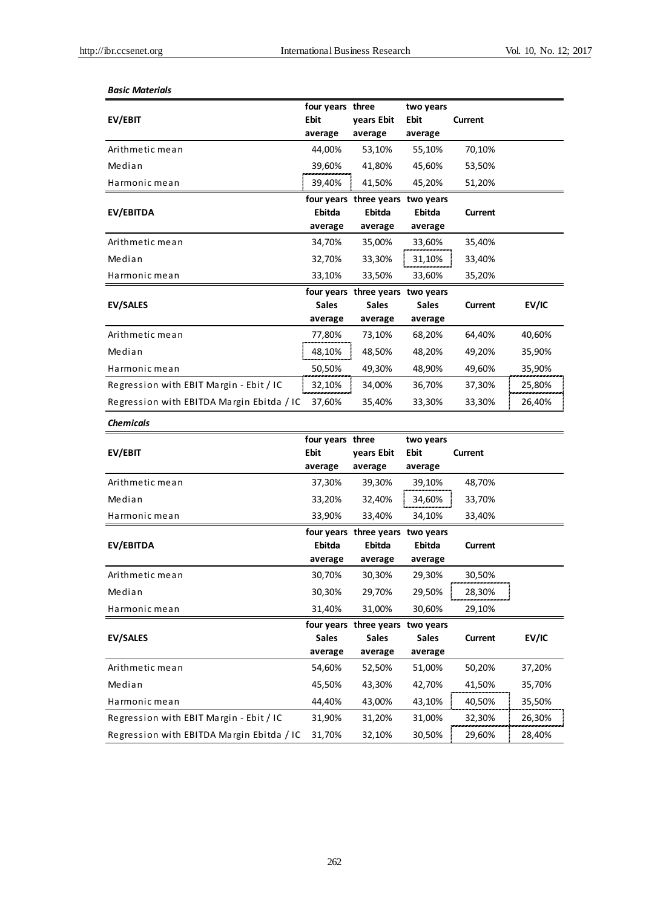## *Basic Materials*

|                                           | four years three |                                  | two years    |                |        |
|-------------------------------------------|------------------|----------------------------------|--------------|----------------|--------|
| EV/EBIT                                   | <b>Ebit</b>      | years Ebit                       | Ebit         | <b>Current</b> |        |
|                                           | average          | average                          | average      |                |        |
| Arithmetic mean                           | 44,00%           | 53,10%                           | 55,10%       | 70,10%         |        |
| Median                                    | 39,60%           | 41,80%                           | 45,60%       | 53,50%         |        |
| Harmonic mean                             | 39,40%           | 41,50%                           | 45,20%       | 51,20%         |        |
|                                           |                  | four years three years two years |              |                |        |
| EV/EBITDA                                 | Ebitda           | Ebitda                           | Ebitda       | <b>Current</b> |        |
|                                           | average          | average                          | average      |                |        |
| Arithmetic mean                           | 34,70%           | 35,00%                           | 33,60%       | 35,40%         |        |
| Median                                    | 32,70%           | 33,30%                           | 31,10%       | 33,40%         |        |
| Harmonic mean                             | 33,10%           | 33,50%                           | 33,60%       | 35,20%         |        |
|                                           |                  | four years three years two years |              |                |        |
| <b>EV/SALES</b>                           | <b>Sales</b>     | <b>Sales</b>                     | <b>Sales</b> | <b>Current</b> | EV/IC  |
|                                           | average          | average                          | average      |                |        |
| Arithmetic mean                           | 77,80%           | 73,10%                           | 68,20%       | 64,40%         | 40,60% |
| Median                                    | 48,10%           | 48,50%                           | 48,20%       | 49,20%         | 35,90% |
| Harmonic mean                             | 50,50%           | 49,30%                           | 48,90%       | 49,60%         | 35,90% |
| Regression with EBIT Margin - Ebit / IC   | 32,10%           | 34,00%                           | 36,70%       | 37,30%         | 25,80% |
| Regression with EBITDA Margin Ebitda / IC | 37,60%           | 35,40%                           | 33,30%       | 33,30%         | 26,40% |
| <b>Chemicals</b>                          |                  |                                  |              |                |        |
|                                           | four years three |                                  | two years    |                |        |

|                                           | four years three |               | two years    |                |        |
|-------------------------------------------|------------------|---------------|--------------|----------------|--------|
| EV/EBIT                                   | <b>Ebit</b>      | years Ebit    | <b>Ebit</b>  | <b>Current</b> |        |
|                                           | average          | average       | average      |                |        |
| Arithmetic mean                           | 37,30%           | 39,30%        | 39,10%       | 48,70%         |        |
| Median                                    | 33,20%           | 32,40%        | 34,60%       | 33,70%         |        |
| Harmonic mean                             | 33,90%           | 33,40%        | 34,10%       | 33,40%         |        |
|                                           | four years       | three years   | two years    |                |        |
| EV/EBITDA                                 | <b>Ebitda</b>    | <b>Ebitda</b> | Ebitda       | <b>Current</b> |        |
|                                           | average          | average       | average      |                |        |
| Arithmetic mean                           | 30,70%           | 30,30%        | 29,30%       | 30,50%         |        |
| Median                                    | 30,30%           | 29,70%        | 29,50%       | 28,30%         |        |
| Harmonic mean                             | 31.40%           | 31.00%        | 30.60%       | 29,10%         |        |
|                                           | four years       | three years   | two years    |                |        |
| <b>EV/SALES</b>                           | <b>Sales</b>     | <b>Sales</b>  | <b>Sales</b> | Current        | EV/IC  |
|                                           | average          | average       | average      |                |        |
| Arithmetic mean                           | 54,60%           | 52,50%        | 51,00%       | 50,20%         | 37,20% |
| Median                                    | 45,50%           | 43,30%        | 42,70%       | 41,50%         | 35,70% |
| Harmonic mean                             | 44,40%           | 43,00%        | 43,10%       | 40,50%         | 35,50% |
| Regression with EBIT Margin - Ebit / IC   | 31,90%           | 31,20%        | 31,00%       | 32,30%         | 26,30% |
| Regression with EBITDA Margin Ebitda / IC | 31,70%           | 32,10%        | 30,50%       | 29,60%         | 28,40% |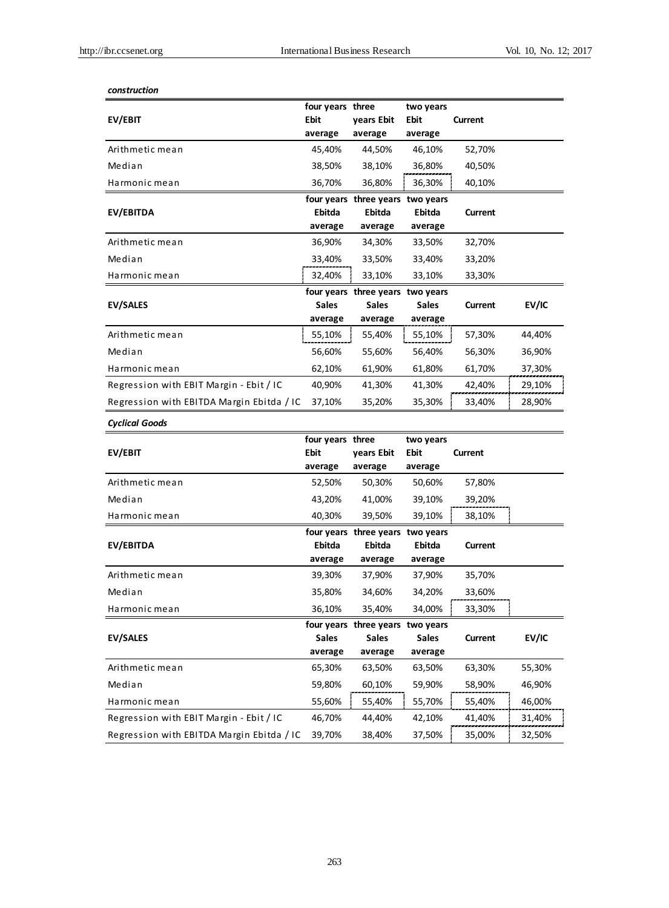## *construction*

|                                           | four years three |                                  | two years    |                |        |
|-------------------------------------------|------------------|----------------------------------|--------------|----------------|--------|
| EV/EBIT                                   | <b>Ebit</b>      | years Ebit                       | Ebit         | Current        |        |
|                                           | average          | average                          | average      |                |        |
| Arithmetic mean                           | 45,40%           | 44,50%                           | 46,10%       | 52,70%         |        |
| Median                                    | 38,50%           | 38,10%                           | 36,80%       | 40,50%         |        |
| Harmonic mean                             | 36,70%           | 36,80%                           | 36,30%       | 40,10%         |        |
|                                           |                  | four years three years two years |              |                |        |
| EV/EBITDA                                 | Ebitda           | Ebitda                           | Ebitda       | <b>Current</b> |        |
|                                           | average          | average                          | average      |                |        |
| Arithmetic mean                           | 36,90%           | 34,30%                           | 33,50%       | 32,70%         |        |
| Median                                    | 33,40%           | 33,50%                           | 33,40%       | 33,20%         |        |
| Harmonic mean                             | 32,40%           | 33,10%                           | 33,10%       | 33,30%         |        |
|                                           |                  | four years three years two years |              |                |        |
| <b>EV/SALES</b>                           | <b>Sales</b>     | <b>Sales</b>                     | <b>Sales</b> | <b>Current</b> | EV/IC  |
|                                           | average          | average                          | average      |                |        |
| Arithmetic mean                           | 55,10%           | 55,40%                           | 55,10%       | 57,30%         | 44,40% |
| Median                                    | 56,60%           | 55,60%                           | 56,40%       | 56,30%         | 36,90% |
| Harmonic mean                             | 62,10%           | 61,90%                           | 61,80%       | 61,70%         | 37,30% |
| Regression with EBIT Margin - Ebit / IC   | 40,90%           | 41,30%                           | 41,30%       | 42,40%         | 29,10% |
| Regression with EBITDA Margin Ebitda / IC | 37,10%           | 35,20%                           | 35,30%       | 33,40%         | 28,90% |
| <b>Cyclical Goods</b>                     |                  |                                  |              |                |        |
|                                           | four years three |                                  | two years    |                |        |
| <b>EV/EBIT</b>                            | <b>Ebit</b>      | years Ebit                       | <b>Ebit</b>  | <b>Current</b> |        |
|                                           | average          | average                          | average      |                |        |
| Arithmetic mean                           | 52,50%           | 50,30%                           | 50,60%       | 57,80%         |        |
| Median                                    | 43,20%           | 41,00%                           | 39,10%       | 39,20%         |        |
| Harmonic mean                             | 40,30%           | 39,50%                           | 39,10%       | 38,10%         |        |
|                                           |                  | four years three years two years |              |                |        |
| EV/EBITDA                                 | Ebitda           | <b>Ebitda</b>                    | Ebitda       | Current        |        |

|                                           |              | <b>TOUT VEGTS CHILE VEGTS CWO VEGTS</b> |              |                |        |
|-------------------------------------------|--------------|-----------------------------------------|--------------|----------------|--------|
| EV/EBITDA                                 | Ebitda       | Ebitda                                  | Ebitda       | <b>Current</b> |        |
|                                           | average      | average                                 | average      |                |        |
| Arithmetic mean                           | 39,30%       | 37,90%                                  | 37,90%       | 35,70%         |        |
| Median                                    | 35,80%       | 34,60%                                  | 34,20%       | 33,60%         |        |
| Harmonic mean                             | 36,10%       | 35,40%                                  | 34,00%       | 33,30%         |        |
|                                           | four years   | three years                             | two years    |                |        |
| <b>EV/SALES</b>                           | <b>Sales</b> | <b>Sales</b>                            | <b>Sales</b> | Current        | EV/IC  |
|                                           | average      | average                                 | average      |                |        |
| Arithmetic mean                           | 65,30%       | 63,50%                                  | 63,50%       | 63,30%         | 55,30% |
| Median                                    | 59,80%       | 60,10%                                  | 59,90%       | 58,90%         | 46,90% |
| Harmonic mean                             | 55,60%       | 55,40%                                  | 55,70%       | 55,40%         | 46,00% |
| Regression with EBIT Margin - Ebit / IC   | 46,70%       | 44,40%                                  | 42,10%       | 41,40%         | 31,40% |
| Regression with EBITDA Margin Ebitda / IC | 39,70%       | 38,40%                                  | 37,50%       | 35,00%         | 32,50% |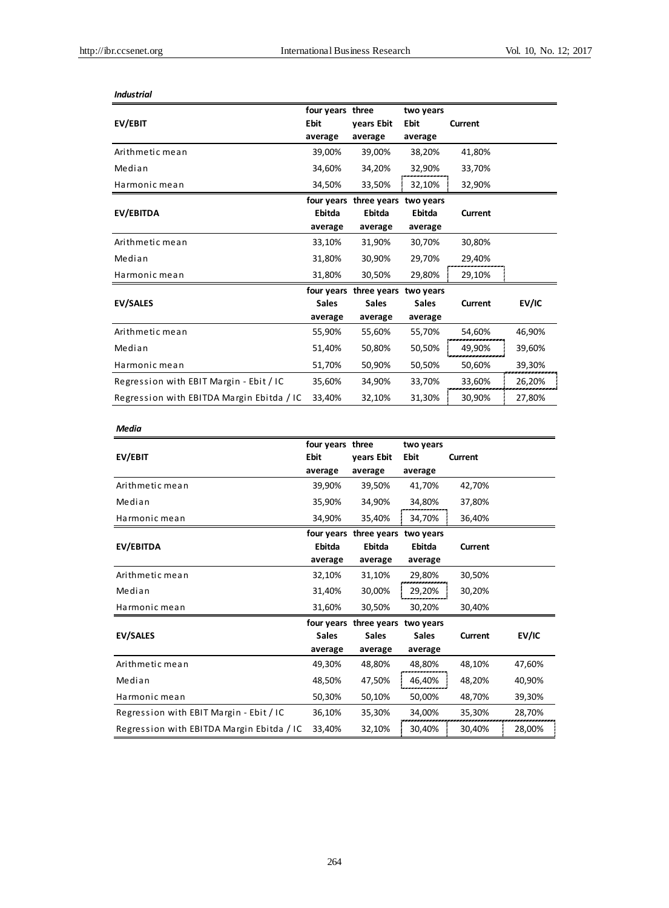| <b>Industrial</b>                         |                  |                                  |              |                |        |
|-------------------------------------------|------------------|----------------------------------|--------------|----------------|--------|
|                                           | four years three |                                  | two years    |                |        |
| EV/EBIT                                   | <b>Ebit</b>      | vears Ebit                       | <b>Ebit</b>  | Current        |        |
|                                           | average          | average                          | average      |                |        |
| Arithmetic mean                           | 39,00%           | 39,00%                           | 38,20%       | 41,80%         |        |
| Median                                    | 34,60%           | 34,20%                           | 32,90%       | 33,70%         |        |
| Harmonic mean                             | 34,50%           | 33,50%                           | 32,10%       | 32,90%         |        |
|                                           |                  | four years three years two years |              |                |        |
| EV/EBITDA                                 | Ebitda           | Ebitda                           | Ebitda       | <b>Current</b> |        |
|                                           | average          | average                          | average      |                |        |
| Arithmetic mean                           | 33,10%           | 31,90%                           | 30,70%       | 30,80%         |        |
| Median                                    | 31,80%           | 30,90%                           | 29,70%       | 29,40%         |        |
| Harmonic mean                             | 31,80%           | 30,50%                           | 29,80%       | 29,10%         |        |
|                                           |                  | four years three years two years |              |                |        |
| <b>EV/SALES</b>                           | <b>Sales</b>     | <b>Sales</b>                     | <b>Sales</b> | <b>Current</b> | EV/IC  |
|                                           | average          | average                          | average      |                |        |
| Arithmetic mean                           | 55,90%           | 55,60%                           | 55,70%       | 54,60%         | 46,90% |
| Median                                    | 51,40%           | 50,80%                           | 50,50%       | 49,90%         | 39,60% |
| Harmonic mean                             | 51,70%           | 50,90%                           | 50,50%       | 50,60%         | 39,30% |
| Regression with EBIT Margin - Ebit / IC   | 35,60%           | 34,90%                           | 33,70%       | 33,60%         | 26,20% |
| Regression with EBITDA Margin Ebitda / IC | 33,40%           | 32,10%                           | 31,30%       | 30,90%         | 27,80% |

| Media                                     |                                            |                                        |                                      |                |        |
|-------------------------------------------|--------------------------------------------|----------------------------------------|--------------------------------------|----------------|--------|
| EV/EBIT                                   | four years three<br><b>Ebit</b><br>average | vears Ebit<br>average                  | two years<br><b>Ebit</b><br>average  | <b>Current</b> |        |
| Arithmetic mean                           | 39,90%                                     | 39,50%                                 | 41,70%                               | 42,70%         |        |
| Median                                    | 35,90%                                     | 34,90%                                 | 34,80%                               | 37,80%         |        |
| Harmonic mean                             | 34,90%                                     | 35,40%                                 | 34,70%                               | 36,40%         |        |
| EV/EBITDA                                 | four years<br>Ebitda<br>average            | three years<br>Ebitda<br>average       | two years<br>Ebitda<br>average       | <b>Current</b> |        |
| Arithmetic mean                           | 32,10%                                     | 31,10%                                 | 29,80%                               | 30,50%         |        |
| Median                                    | 31,40%                                     | 30,00%                                 | 29,20%                               | 30,20%         |        |
| Harmonic mean                             | 31,60%                                     | 30,50%                                 | 30,20%                               | 30,40%         |        |
| <b>EV/SALES</b>                           | four years<br><b>Sales</b><br>average      | three years<br><b>Sales</b><br>average | two years<br><b>Sales</b><br>average | <b>Current</b> | EV/IC  |
| Arithmetic mean                           | 49,30%                                     | 48,80%                                 | 48,80%                               | 48,10%         | 47,60% |
| Median                                    | 48,50%                                     | 47,50%                                 | 46,40%                               | 48,20%         | 40,90% |
| Harmonic mean                             | 50,30%                                     | 50,10%                                 | 50,00%                               | 48,70%         | 39,30% |
| Regression with EBIT Margin - Ebit / IC   | 36,10%                                     | 35,30%                                 | 34,00%                               | 35,30%         | 28,70% |
| Regression with EBITDA Margin Ebitda / IC | 33,40%                                     | 32,10%                                 | 30,40%                               | 30,40%         | 28,00% |

## 264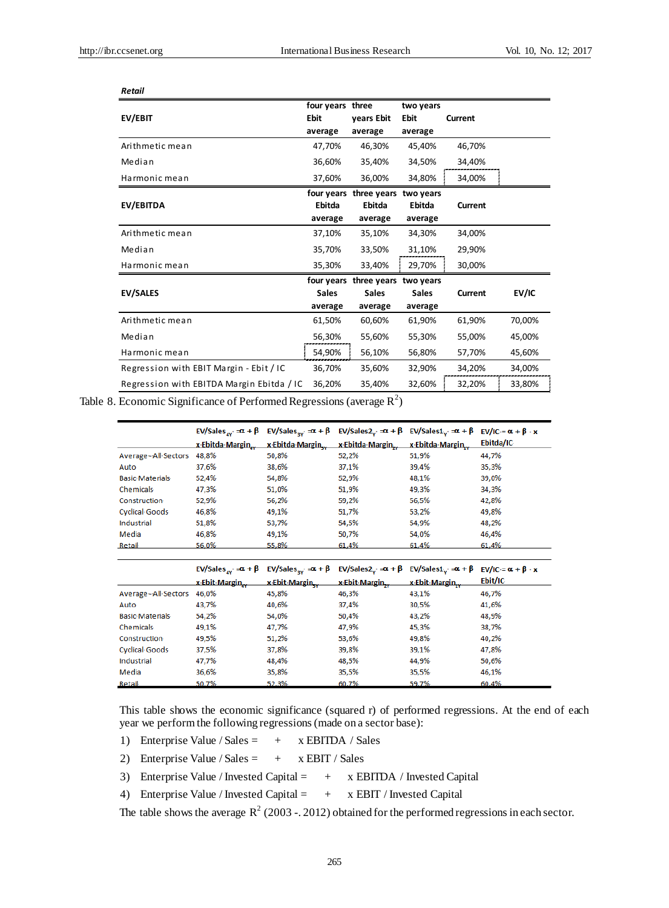*Retail*

|                                           | four years three |                        | two years    |                |        |
|-------------------------------------------|------------------|------------------------|--------------|----------------|--------|
| EV/EBIT                                   | <b>Ebit</b>      | vears Ebit             | Ebit         | Current        |        |
|                                           | average          | average                | average      |                |        |
| Arithmetic mean                           | 47.70%           | 46,30%                 | 45,40%       | 46,70%         |        |
| Median                                    | 36.60%           | 35,40%                 | 34,50%       | 34,40%         |        |
| Harmonic mean                             | 37,60%           | 36,00%                 | 34,80%       | 34,00%         |        |
|                                           |                  | four years three years | two years    |                |        |
| <b>EV/EBITDA</b>                          | Ebitda           | Ebitda                 | Ebitda       | <b>Current</b> |        |
|                                           | average          | average                | average      |                |        |
| Arithmetic mean                           | 37,10%           | 35,10%                 | 34,30%       | 34,00%         |        |
| Median                                    | 35,70%           | 33,50%                 | 31,10%       | 29,90%         |        |
| Harmonic mean                             | 35,30%           | 33,40%                 | 29,70%       | 30,00%         |        |
|                                           |                  | four years three years | two years    |                |        |
| <b>EV/SALES</b>                           | <b>Sales</b>     | <b>Sales</b>           | <b>Sales</b> | <b>Current</b> | EV/IC  |
|                                           | average          | average                | average      |                |        |
| Arithmetic mean                           | 61.50%           | 60.60%                 | 61.90%       | 61,90%         | 70,00% |
| Median                                    | 56,30%           | 55,60%                 | 55,30%       | 55,00%         | 45,00% |
| Harmonic mean                             | 54,90%           | 56,10%                 | 56,80%       | 57,70%         | 45,60% |
| Regression with EBIT Margin - Ebit / IC   | 36,70%           | 35,60%                 | 32,90%       | 34,20%         | 34,00% |
| Regression with EBITDA Margin Ebitda / IC | 36,20%           | 35,40%                 | 32,60%       | 32,20%         | 33,80% |

Table 8. Economic Significance of Performed Regressions (average  $R^2$ )

|                       |                 |                 | EV/Sales <sub>α</sub> , =α + β EV/Sales <sub>a</sub> , =α + β EV/Sales2 <sub>v</sub> =α + β EV/Sales1 <sub>v</sub> =α + β EV/IC = α + β x     |                  |           |
|-----------------------|-----------------|-----------------|-----------------------------------------------------------------------------------------------------------------------------------------------|------------------|-----------|
|                       | x Ebitda Margin | x Ebitda Margin | x Ebitda Margin                                                                                                                               | x-Ebitda-Margin. | Ebitda/IC |
| Average-All-Sectors   | 48,8%           | 50,8%           | 52,2%                                                                                                                                         | 51,9%            | 44.7%     |
| Auto                  | 37,6%           | 38,6%           | 37,1%                                                                                                                                         | 39,4%            | 35,3%     |
| Basic Materials       | 52.4%           | 54.8%           | 52.9%                                                                                                                                         | 48,1%            | 39.0%     |
| Chemicals             | 47,3%           | 51,0%           | 51,9%                                                                                                                                         | 49,3%            | 34,3%     |
| Construction          | 52.9%           | 56,2%           | 59,2%                                                                                                                                         | 56,5%            | 42,8%     |
| <b>Cyclical Goods</b> | 46,8%           | 49,1%           | 51,7%                                                                                                                                         | 53,2%            | 49,8%     |
| Industrial            | 51,8%           | 53,7%           | 54,5%                                                                                                                                         | 54,9%            | 48,2%     |
| Media                 | 46,8%           | 49,1%           | 50,7%                                                                                                                                         | 54,0%            | 46,4%     |
| Retail                | 56.0%           | 55,8%           | 61,4%                                                                                                                                         | 61.4%            | 61.4%     |
|                       |                 |                 |                                                                                                                                               |                  |           |
|                       |                 |                 | EV/Sales <sub>αν</sub> = α + β EV/Sales <sub>αν</sub> = α + β EV/Sales2 <sub>ν</sub> = α + β EV/Sales1 <sub>ν</sub> = α + β EV/IC = α + β · x |                  |           |
|                       | x Ebit Margin   | x Ebit Margin   | x Ebit Margin,                                                                                                                                | x-Ebit-Margin,   | Ebit/IC   |
| Average-All-Sectors   | 46,0%           | 45.8%           | 46.3%                                                                                                                                         | 43,1%            | 46.7%     |
| Auto                  | 43,7%           | 40,6%           | 37,4%                                                                                                                                         | 30,5%            | 41,6%     |
| Basic Materials       | 54.2%           | 54.0%           | 50.4%                                                                                                                                         | 43.2%            | 48.9%     |
| <b>Chemicals</b>      | 49,1%           | 47,7%           | 47,9%                                                                                                                                         | 45,3%            | 38,7%     |
| Construction          | 49,5%           | 51,2%           | 53,6%                                                                                                                                         | 49.8%            | 40.2%     |
| <b>Cyclical Goods</b> | 37,5%           | 37,8%           | 39,8%                                                                                                                                         | 39,1%            | 47,8%     |
| Industrial            | 47,7%           | 48,4%           | 48,5%                                                                                                                                         | 44,9%            | 50,6%     |
| Media                 | 36,6%           | 35,8%           | 35,5%                                                                                                                                         | 35,5%            | 46,1%     |
| Retail                | 50.7%           | 52.3%           | 60.7%                                                                                                                                         | 59.7%            | 60.4%     |

This table shows the economic significance (squared r) of performed regressions. At the end of each year we perform the following regressions (made on a sector base):

1) Enterprise Value / Sales =  $+$  x EBITDA / Sales

- 2) Enterprise Value / Sales =  $+$  x EBIT / Sales
- 3) Enterprise Value / Invested Capital =  $+ x$  EBITDA / Invested Capital
- 4) Enterprise Value / Invested Capital =  $+$  x EBIT / Invested Capital

The table shows the average  $R^2$  (2003 -. 2012) obtained for the performed regressions in each sector.